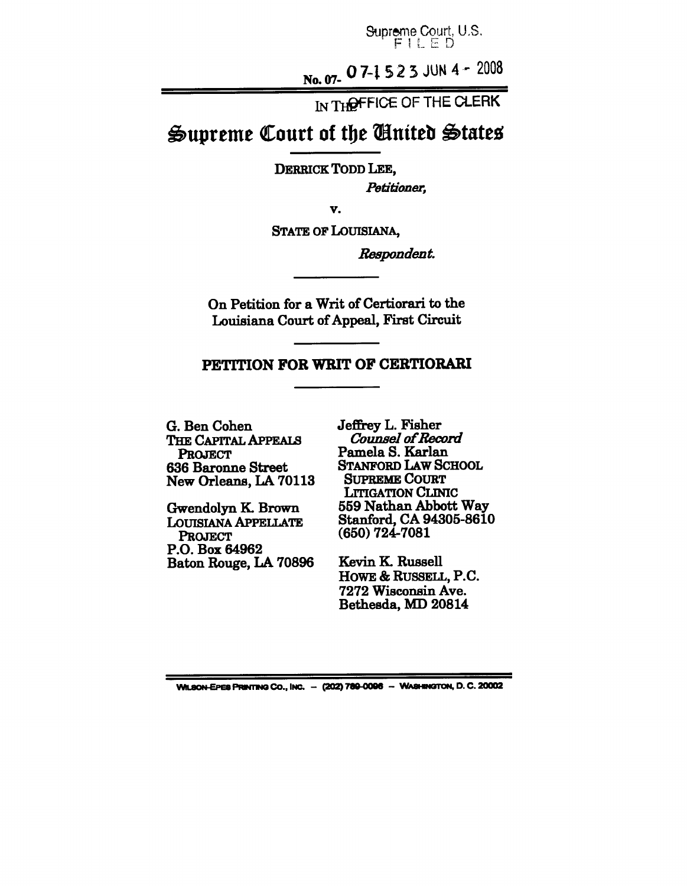Supreme Court, U.S. FILED

No. 07- 07-1523 JUN 4 - 2008

IN THOFFICE OF THE CLERK

# **Supreme Court of the United States**

DERRICK TODD LEE,

*Petitioner,*

v.

STATE OF LOUISIANA,

 $R$ espondent.

On Petition for a Writ of Certiorari to the Louisiana Court of Appeal, First Circuit

### **PETITION FOR WRIT OF CERTIORARI**

**G. Ben Cohen** THE CAPITAL APPEALS **PROJECT 636** Baronne Street **New Orleans, LA 70113**

Gwendolyn K. Brown LOUISIANA APPELLATE **PROJECT P.O. Box 64962** Baton Rouge, LA **70896** Jeffrey L. Fisher Counsel of Record Pamela S. Karlan STANFORD LAW SCHOOL SUPREME COURT LITIGATION CLINIC **559 Nathan Abbott Way Stanford, CA 94305-8610 (650) 724-7081**

Kevin K. Russell HOWE & RUSSELL, P.C. **7272** Wisconsin Ave. Bethesda, MD **20814**

WILSON-EPES PRINTING Co., INC. - (202) 789-0096 - WASHINGTON, D. C. 20002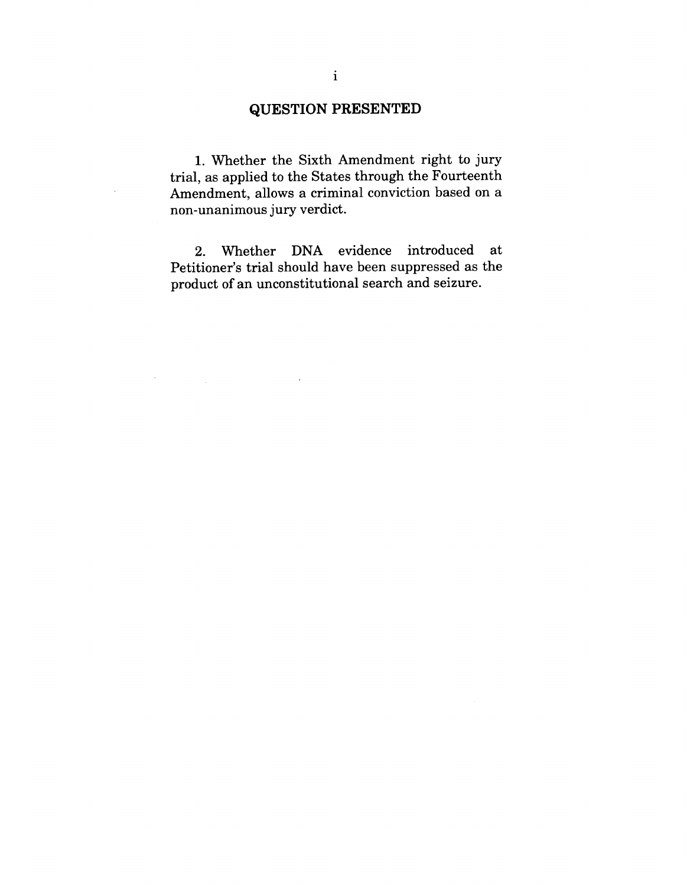# **~UESTION PRESENTED**

1. Whether the Sixth Amendment right to jury trial, as applied to the States through the Fourteenth Amendment, allows a criminal conviction based on a non-unanimous jury verdict.

2. Whether DNA evidence introduced at Petitioner's trial should have been suppressed as the product of an unconstitutional search and seizure.

 $\mathcal{A}^{\mathcal{A}}$ 

 $\label{eq:2.1} \mathcal{F}(\mathcal{F}) = \mathcal{F}(\mathcal{F}) = \mathcal{F}(\mathcal{F}) = \mathcal{F}(\mathcal{F})$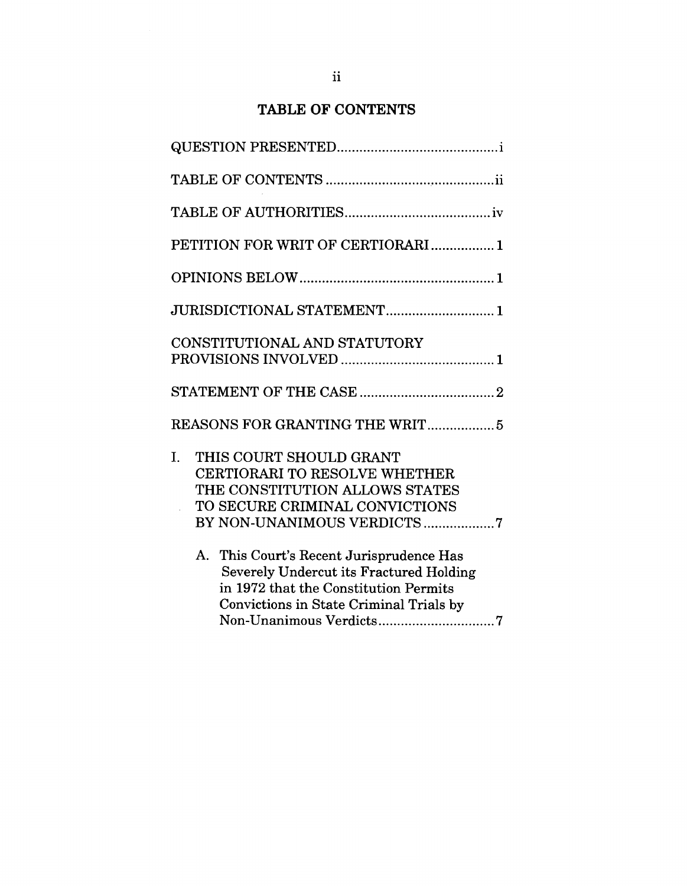# TABLE OF CONTENTS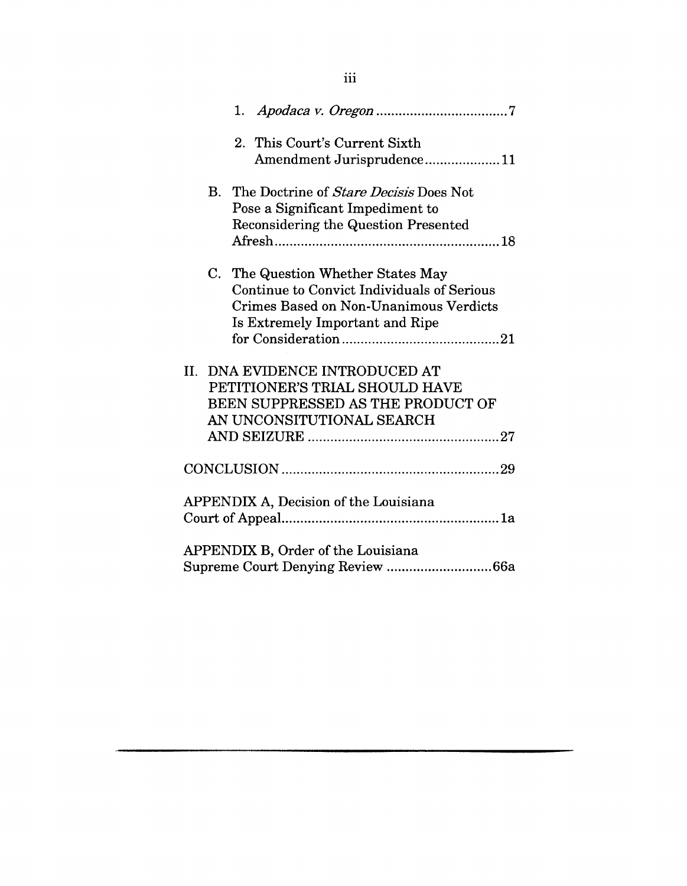|    | 2. This Court's Current Sixth                 |
|----|-----------------------------------------------|
|    | Amendment Jurisprudence11                     |
| В. | The Doctrine of <i>Stare Decisis</i> Does Not |
|    | Pose a Significant Impediment to              |
|    | Reconsidering the Question Presented          |
|    |                                               |
|    | C. The Question Whether States May            |
|    | Continue to Convict Individuals of Serious    |
|    | Crimes Based on Non-Unanimous Verdicts        |
|    | Is Extremely Important and Ripe               |
|    |                                               |
|    | II. DNA EVIDENCE INTRODUCED AT                |
|    | PETITIONER'S TRIAL SHOULD HAVE                |
|    | BEEN SUPPRESSED AS THE PRODUCT OF             |
|    | AN UNCONSITUTIONAL SEARCH                     |
|    |                                               |
|    |                                               |
|    | APPENDIX A, Decision of the Louisiana         |
|    |                                               |
|    | APPENDIX B, Order of the Louisiana            |
|    | Supreme Court Denying Review 66a              |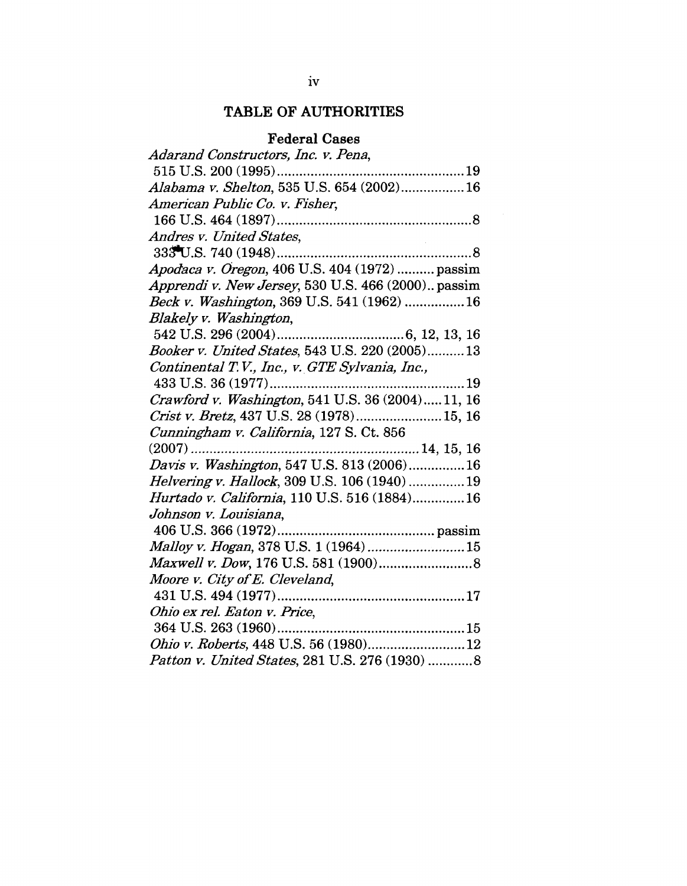# **TABLE OF AUTHORITIES**

# **Federal Cases**

| Adarand Constructors, Inc. v. Pena,                 |
|-----------------------------------------------------|
|                                                     |
| Alabama v. Shelton, 535 U.S. 654 (2002) 16          |
| American Public Co. v. Fisher,                      |
|                                                     |
| Andres v. United States,                            |
|                                                     |
| Apodaca v. Oregon, 406 U.S. 404 (1972)  passim      |
| Apprendi v. New Jersey, 530 U.S. 466 (2000) passim  |
| Beck v. Washington, 369 U.S. 541 (1962)  16         |
| Blakely v. Washington,                              |
|                                                     |
| Booker v. United States, 543 U.S. 220 (2005)13      |
| Continental T.V., Inc., v. GTE Sylvania, Inc.,      |
|                                                     |
| Crawford v. Washington, 541 U.S. 36 (2004)11, 16    |
| Crist v. Bretz, 437 U.S. 28 (1978) 15, 16           |
| Cunningham v. California, 127 S. Ct. 856            |
|                                                     |
| Davis v. Washington, 547 U.S. 813 (2006) 16         |
| <i>Helvering v. Hallock</i> , 309 U.S. 106 (1940)19 |
| Hurtado v. California, 110 U.S. 516 (1884)16        |
| Johnson v. Louisiana,                               |
|                                                     |
| Malloy v. Hogan, 378 U.S. 1 (1964)15                |
|                                                     |
| Moore v. City of E. Cleveland,                      |
|                                                     |
| Ohio ex rel. Eaton v. Price,                        |
| $364$ U.S. $263$ $(1960)$                           |
| Ohio v. Roberts, 448 U.S. 56 (1980)12               |
| Patton v. United States, 281 U.S. 276 (1930) 8      |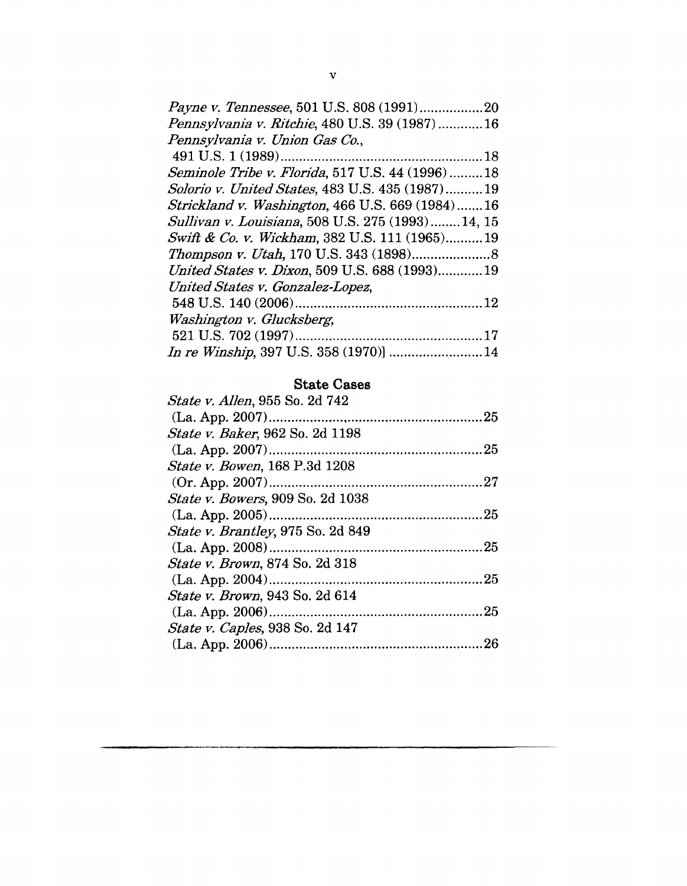| Payne v. Tennessee, 501 U.S. 808 (1991)20         |  |
|---------------------------------------------------|--|
| Pennsylvania v. Ritchie, 480 U.S. 39 (1987)16     |  |
| Pennsylvania v. Union Gas Co.,                    |  |
|                                                   |  |
| Seminole Tribe v. Florida, 517 U.S. 44 (1996)18   |  |
| Solorio v. United States, 483 U.S. 435 (1987)19   |  |
| Strickland v. Washington, 466 U.S. 669 (1984)16   |  |
| Sullivan v. Louisiana, 508 U.S. 275 (1993) 14, 15 |  |
| Swift & Co. v. Wickham, 382 U.S. 111 (1965)19     |  |
|                                                   |  |
| United States v. Dixon, 509 U.S. 688 (1993)19     |  |
| United States v. Gonzalez-Lopez,                  |  |
|                                                   |  |
| Washington v. Glucksberg,                         |  |
|                                                   |  |
|                                                   |  |
|                                                   |  |

### **State Cases**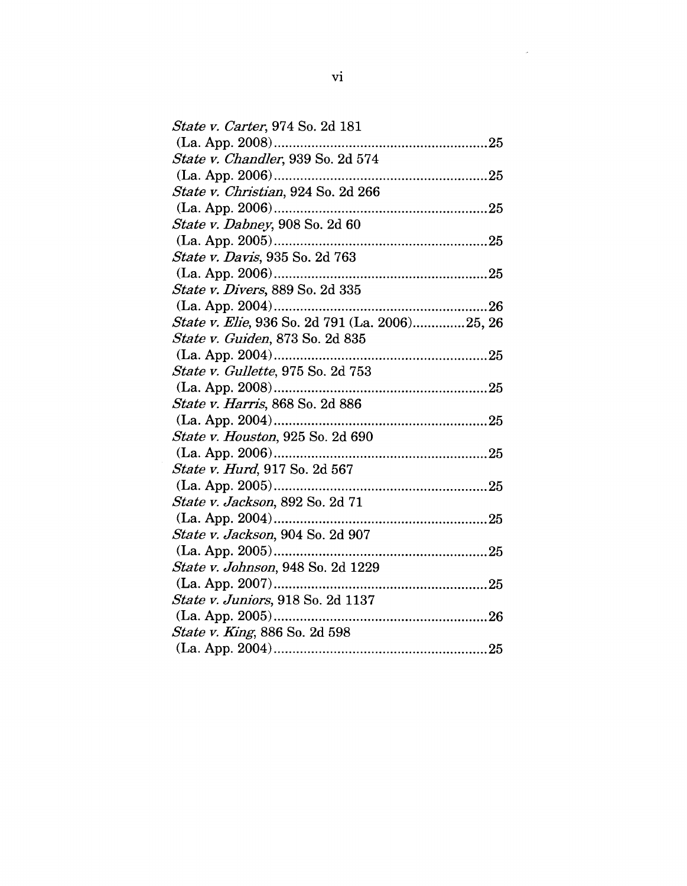| <i>State v. Carter</i> , 974 So. 2d 181        |  |
|------------------------------------------------|--|
|                                                |  |
| State v. Chandler, 939 So. 2d 574              |  |
|                                                |  |
| State v. Christian, 924 So. 2d 266             |  |
|                                                |  |
| State v. Dabney, 908 So. 2d 60                 |  |
|                                                |  |
| State v. Davis, 935 So. 2d 763                 |  |
|                                                |  |
| State v. Divers, 889 So. 2d 335                |  |
|                                                |  |
| State v. Elie, 936 So. 2d 791 (La. 2006)25, 26 |  |
| State v. Guiden, 873 So. 2d 835                |  |
|                                                |  |
| <i>State v. Gullette, 975 So. 2d 753</i>       |  |
|                                                |  |
| State v. Harris, 868 So. 2d 886                |  |
|                                                |  |
| State v. Houston, 925 So. 2d 690               |  |
|                                                |  |
| <i>State v. Hurd</i> , 917 So. 2d 567          |  |
|                                                |  |
| <i>State v. Jackson</i> , 892 So. 2d 71        |  |
|                                                |  |
| State v. Jackson, 904 So. 2d 907               |  |
|                                                |  |
| State v. Johnson, 948 So. 2d 1229              |  |
|                                                |  |
| State v. Juniors, 918 So. 2d 1137              |  |
|                                                |  |
| <i>State v. King</i> , 886 So. 2d 598          |  |
|                                                |  |
|                                                |  |

 $\label{eq:2.1} \frac{1}{\sqrt{2}}\left(\frac{1}{\sqrt{2}}\right)^{2} \left(\frac{1}{\sqrt{2}}\right)^{2} \left(\frac{1}{\sqrt{2}}\right)^{2} \left(\frac{1}{\sqrt{2}}\right)^{2} \left(\frac{1}{\sqrt{2}}\right)^{2} \left(\frac{1}{\sqrt{2}}\right)^{2} \left(\frac{1}{\sqrt{2}}\right)^{2} \left(\frac{1}{\sqrt{2}}\right)^{2} \left(\frac{1}{\sqrt{2}}\right)^{2} \left(\frac{1}{\sqrt{2}}\right)^{2} \left(\frac{1}{\sqrt{2}}\right)^{2} \left(\$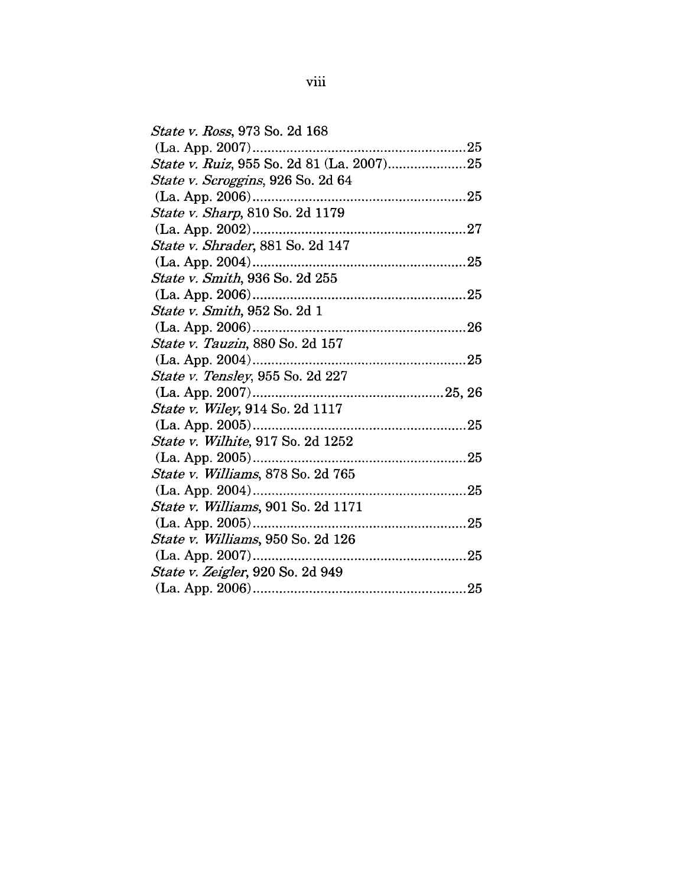| <i>State v. Ross</i> , 973 So. 2d 168      |  |
|--------------------------------------------|--|
| (La. App. 2007)                            |  |
| State v. Ruiz, 955 So. 2d 81 (La. 2007)25  |  |
| <i>State v. Scroggins</i> , 926 So. 2d 64  |  |
|                                            |  |
| <i>State v. Sharp</i> , 810 So. 2d 1179    |  |
| $(La. App. 2002)$                          |  |
| <i>State v. Shrader</i> , 881 So. 2d 147   |  |
| (La. App. 2004)<br>                        |  |
| State v. Smith, 936 So. 2d 255             |  |
| $(La. App. 2006)$                          |  |
| <i>State v. Smith</i> , 952 So. 2d 1       |  |
| (La. App. 2006)                            |  |
| State v. Tauzin, 880 So. 2d 157            |  |
|                                            |  |
| State v. Tensley, 955 So. 2d 227           |  |
|                                            |  |
| State v. Wiley, 914 So. 2d 1117            |  |
| $(La. App. 2005)$                          |  |
| <i>State v. Wilhite</i> , 917 So. 2d 1252  |  |
| (La. App. 2005)                            |  |
| State v. Williams, 878 So. 2d 765          |  |
|                                            |  |
| <i>State v. Williams</i> , 901 So. 2d 1171 |  |
| $(La. App. 2005)$                          |  |
| State v. Williams, 950 So. 2d 126          |  |
| $(La. App. 2007)$                          |  |
| <i>State v. Zeigler</i> , 920 So. 2d 949   |  |
|                                            |  |
|                                            |  |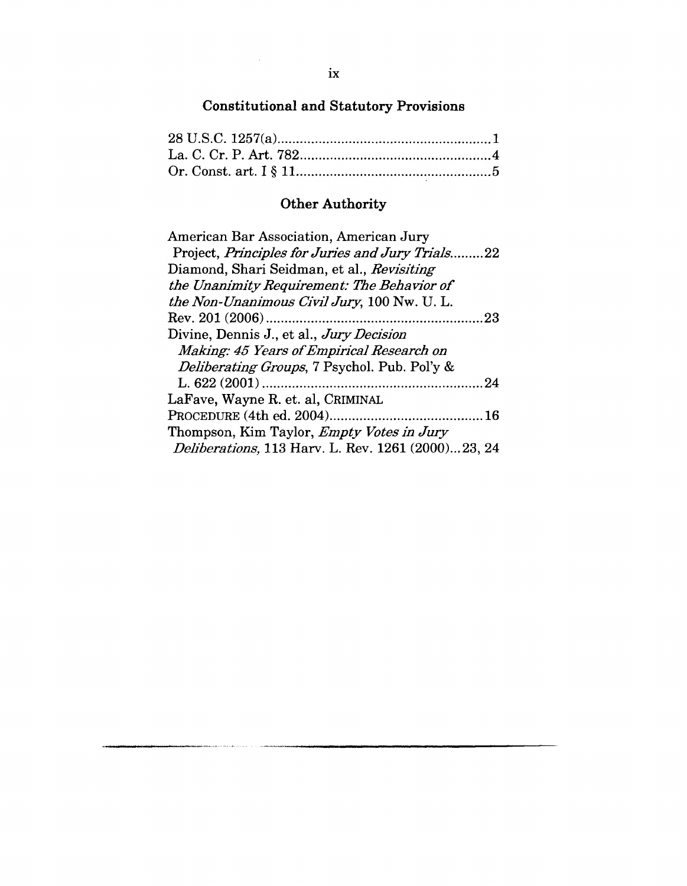# **Constitutional and Statutory Provisions**

# **Other Authority**

| American Bar Association, American Jury                    |
|------------------------------------------------------------|
| Project, Principles for Juries and Jury Trials22           |
| Diamond, Shari Seidman, et al., Revisiting                 |
| the Unanimity Requirement: The Behavior of                 |
| the Non-Unanimous Civil Jury, 100 Nw. U. L.                |
| 23                                                         |
| Divine, Dennis J., et al., Jury Decision                   |
| Making: 45 Years of Empirical Research on                  |
| <i>Deliberating Groups</i> , 7 Psychol. Pub. Pol'y &       |
| -24                                                        |
| LaFave, Wayne R. et. al, CRIMINAL                          |
|                                                            |
| Thompson, Kim Taylor, <i>Empty Votes in Jury</i>           |
| <i>Deliberations</i> , 113 Harv. L. Rev. 1261 (2000)23, 24 |

 $\sim$ 

 $\frac{1}{2} \sum_{i=1}^n \frac{1}{2} \sum_{j=1}^n \frac{1}{2} \sum_{j=1}^n \frac{1}{2} \sum_{j=1}^n \frac{1}{2} \sum_{j=1}^n \frac{1}{2} \sum_{j=1}^n \frac{1}{2} \sum_{j=1}^n \frac{1}{2} \sum_{j=1}^n \frac{1}{2} \sum_{j=1}^n \frac{1}{2} \sum_{j=1}^n \frac{1}{2} \sum_{j=1}^n \frac{1}{2} \sum_{j=1}^n \frac{1}{2} \sum_{j=1}^n \frac{1}{2} \sum_{j=$ 

**Service Service**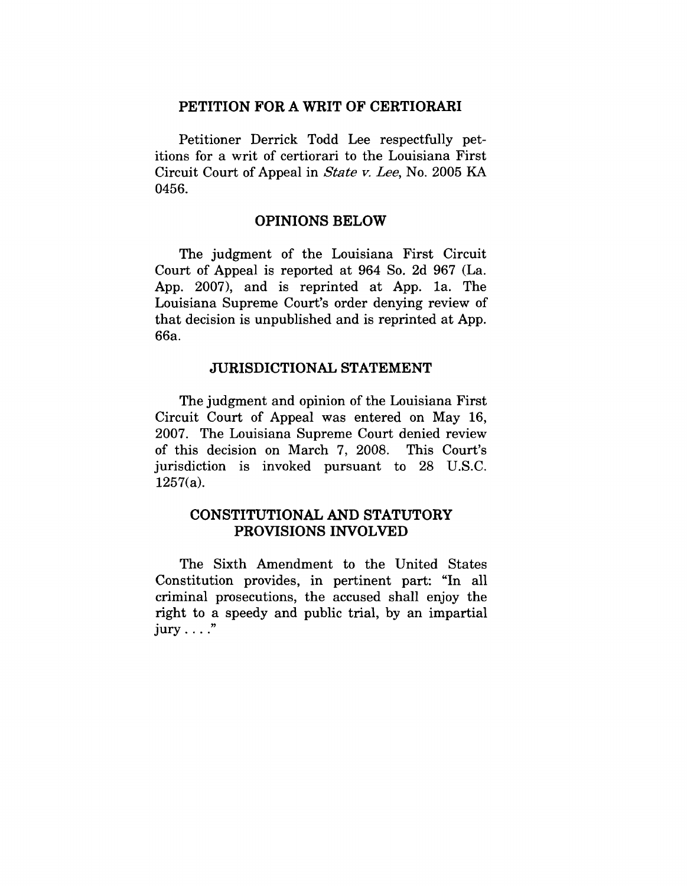## **PETITION FOR A WRIT OF CERTIORARI**

Petitioner Derrick Todd Lee respectfully petitions for a writ of certiorari to the Louisiana First Circuit Court of Appeal in *State v. Lee,* No. 2005 KA 0456.

#### **OPINIONS BELOW**

The judgment of the Louisiana First Circuit Court of Appeal is reported at 964 So. 2d 967 (La. App. 2007), and is reprinted at App. la. The Louisiana Supreme Court's order denying review of that decision is unpublished and is reprinted at App. 66a.

#### **JURISDICTIONAL** STATEMENT

The judgment and opinion of the Louisiana First Circuit Court of Appeal was entered on May 16, 2007. The Louisiana Supreme Court denied review of this decision on March 7, 2008. This Court's jurisdiction is invoked pursuant to 28 U.S.C. 1257(a).

### CONSTITUTIONAL AND STATUTORY **PROVISIONS INVOLVED**

The Sixth Amendment to the United States Constitution provides, in pertinent part: "In all criminal prosecutions, the accused shall enjoy the right to a speedy and public trial, by an impartial  $jury \ldots$ ."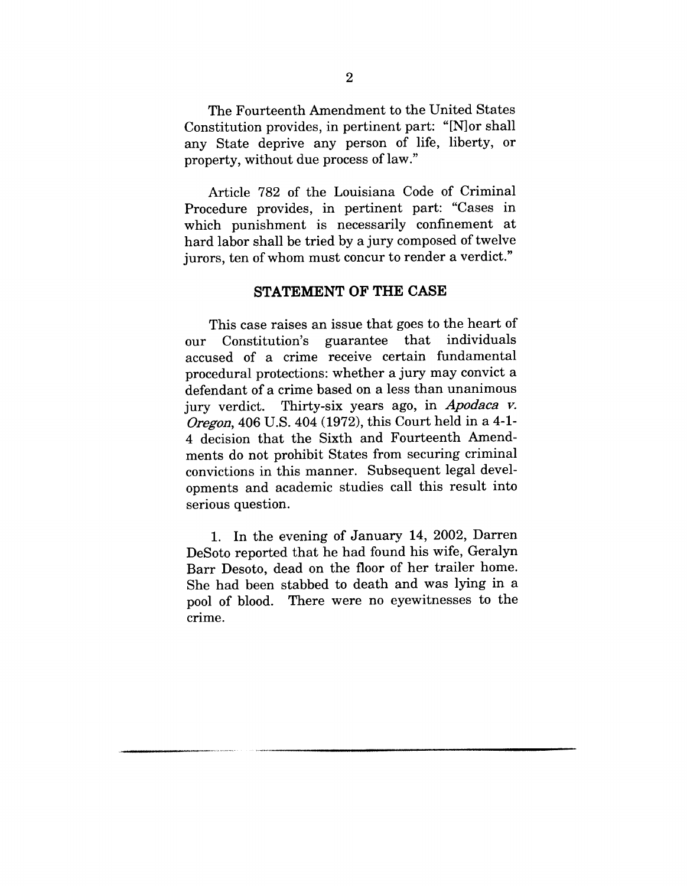The Fourteenth Amendment to the United States Constitution provides, in pertinent part: "[N]or shall any State deprive any person of life, liberty, or property, without due process of law."

Article 782 of the Louisiana Code of Criminal Procedure provides, in pertinent part: "Cases in which punishment is necessarily confinement at hard labor shall be tried by a jury composed of twelve jurors, ten of whom must concur to render a verdict."

#### **STATEMENT OF THE CASE**

This case raises an issue that goes to the heart of our Constitution's guarantee that individuals accused of a crime receive certain fundamental procedural protections: whether a jury may convict a defendant of a crime based on a less than unanimous jury verdict. Thirty-six years ago, in *Apodaca v.* Oregon, 406 U.S. 404 (1972), this Court held in a 4-1- 4 decision that the Sixth and Fourteenth Amendments do not prohibit States from securing criminal convictions in this manner. Subsequent legal developments and academic studies call this result into serious question.

1. In the evening of January 14, 2002, Darren DeSoto reported that he had found his wife, Geralyn Barr Desoto, dead on the floor of her trailer home. She had been stabbed to death and was lying in a pool of blood. There were no eyewitnesses to the crime.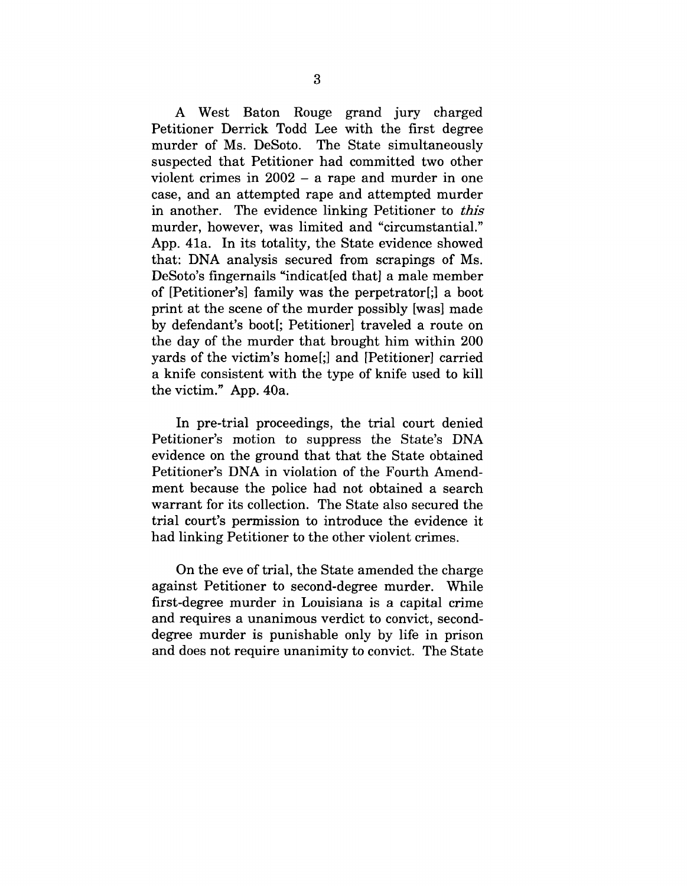A West Baton Rouge grand jury charged Petitioner Derrick Todd Lee with the first degree murder of Ms. DeSoto. The State simultaneously suspected that Petitioner had committed two other violent crimes in 2002 - a rape and murder in one case, and an attempted rape and attempted murder in another. The evidence linking Petitioner to *this* murder, however, was limited and "circumstantial." App. 41a. In its totality, the State evidence showed that: DNA analysis secured from scrapings of Ms. DeSoto's fingernails "indicat[ed that] a male member of [Petitioner's] family was the perpetrator[;] a boot print at the scene of the murder possibly [was] made by defendant's boot[; Petitioner] traveled a route on the day of the murder that brought him within 200 yards of the victim's home[;] and [Petitioner] carried a knife consistent with the type of knife used to kill the victim." App. 40a.

In pre-trial proceedings, the trial court denied Petitioner's motion to suppress the State's DNA evidence on the ground that that the State obtained Petitioner's DNA in violation of the Fourth Amendment because the police had not obtained a search warrant for its collection. The State also secured the trial court's permission to introduce the evidence it had linking Petitioner to the other violent crimes.

On the eve of trial, the State amended the charge against Petitioner to second-degree murder. While first-degree murder in Louisiana is a capital crime and requires a unanimous verdict to convict, seconddegree murder is punishable only by life in prison and does not require unanimity to convict. The State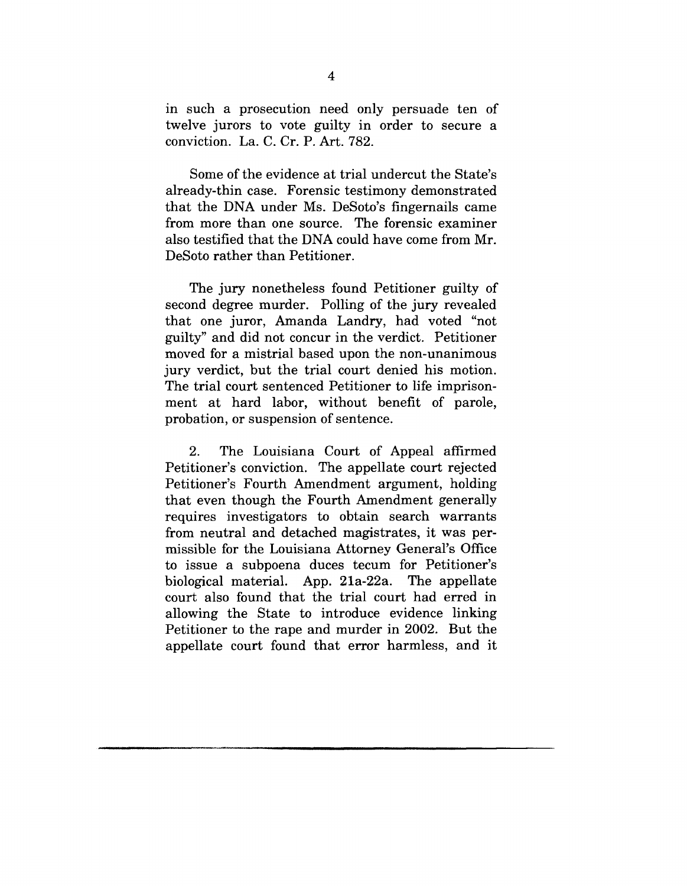in such a prosecution need only persuade ten of twelve jurors to vote guilty in order to secure a conviction. La. C. Cr. P. Art. 782.

Some of the evidence at trial undercut the State's already-thin case. Forensic testimony demonstrated that the DNA under Ms. DeSoto's fingernails came from more than one source. The forensic examiner also testified that the DNA could have come from Mr. DeSoto rather than Petitioner.

The jury nonetheless found Petitioner guilty of second degree murder. Polling of the jury revealed that one juror, Amanda Landry, had voted "not guilty" and did not concur in the verdict. Petitioner moved for a mistrial based upon the non-unanimous jury verdict, but the trial court denied his motion. The trial court sentenced Petitioner to life imprisonment at hard labor, without benefit of parole, probation, or suspension of sentence.

2. The Louisiana Court of Appeal affirmed Petitioner's conviction. The appellate court rejected Petitioner's Fourth Amendment argument, holding that even though the Fourth Amendment generally requires investigators to obtain search warrants from neutral and detached magistrates, it was permissible for the Louisiana Attorney General's Office to issue a subpoena duces tecum for Petitioner's biological material. App. 21a-22a. The appellate court also found that the trial court had erred in allowing the State to introduce evidence linking Petitioner to the rape and murder in 2002. But the appellate court found that error harmless, and it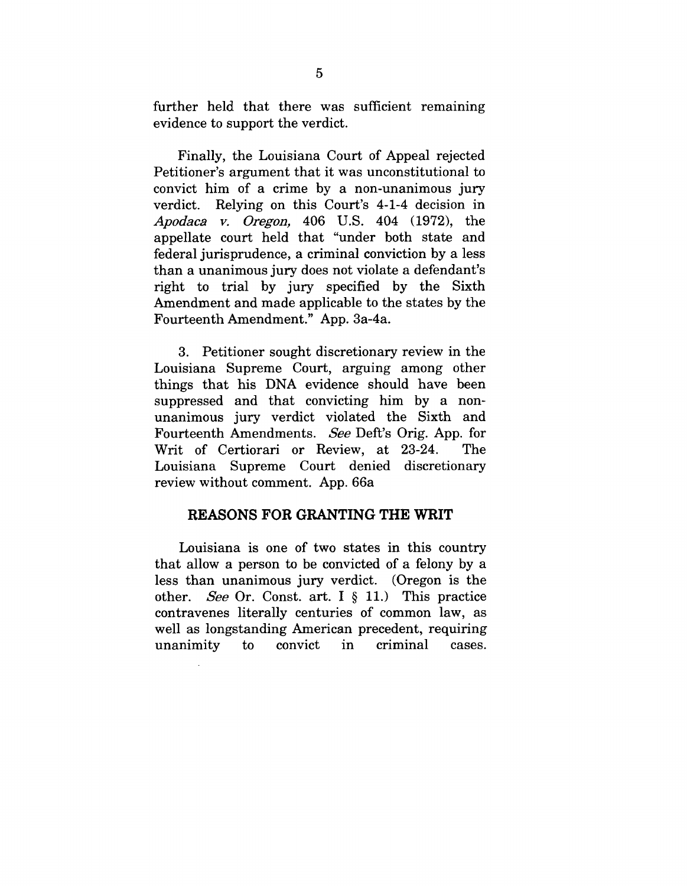further held that there was sufficient remaining evidence to support the verdict.

Finally, the Louisiana Court of Appeal rejected Petitioner's argument that it was unconstitutional to convict him of a crime by a non-unanimous jury verdict. Relying on this Court's 4-1-4 decision in *Apodaca v. Oregon,* 406 U.S. 404 (1972), the appellate court held that "under both state and federal jurisprudence, a criminal conviction by a less than a unanimous jury does not violate a defendant's right to trial by jury specified by the Sixth Amendment and made applicable to the states by the Fourteenth Amendment." App. 3a-4a.

3. Petitioner sought discretionary review in the Louisiana Supreme Court, arguing among other things that his DNA evidence should have been suppressed and that convicting him by a nonunanimous jury verdict violated the Sixth and Fourteenth Amendments. *See* Deft's Orig. App. for Writ of Certiorari or Review, at 23-24. The Louisiana Supreme Court denied discretionary review without comment. App. 66a

#### **REASONS FOR GRANTING THE WRIT**

Louisiana is one of two states in this country that allow a person to be convicted of a felony by a less than unanimous jury verdict. (Oregon is the other. *See* Or. Const. art. I § 11.) This practice contravenes literally centuries of common law, as well as longstanding American precedent, requiring unanimity to convict in criminal cases.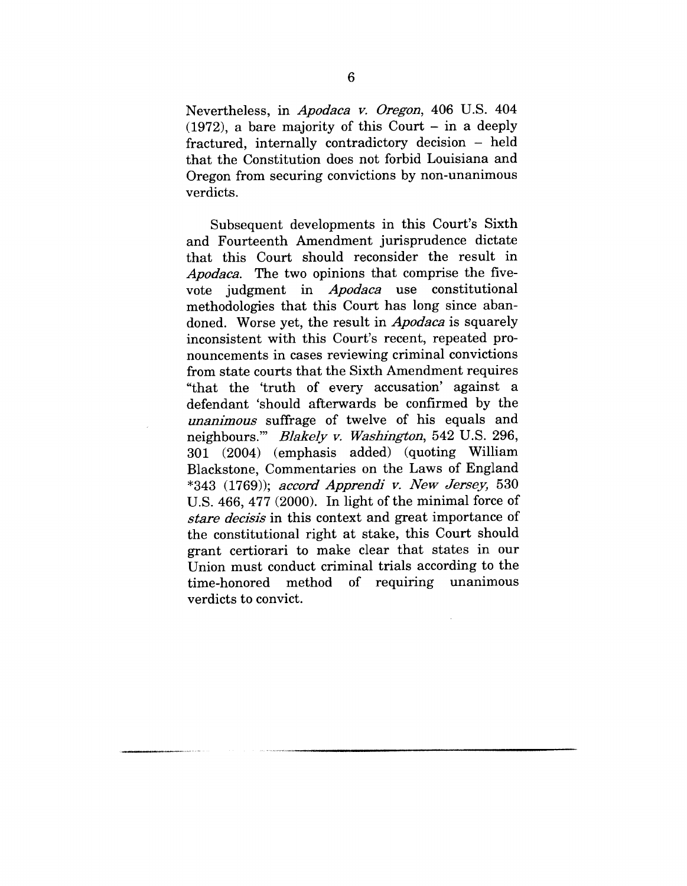Nevertheless, in *Apodaca g. Oregon,* 406 U.S. 404  $(1972)$ , a bare majority of this Court - in a deeply  $fractured$ , internally contradictory decision  $-$  held that the Constitution does not forbid Louisiana and Oregon from securing convictions by non-unanimous verdicts.

Subsequent developments in this Court's Sixth and Fourteenth Amendment jurisprudence dictate that this Court should reconsider the result in *Apodaca.* The two opinions that comprise the fivevote judgment in *Apodaca* use constitutional methodologies that this Court has long since abandoned. Worse yet, the result in *Apodaca* is squarely inconsistent with this Court's recent, repeated pronouncements in cases reviewing criminal convictions from state courts that the Sixth Amendment requires "that the 'truth of every accusation' against a defendant 'should afterwards be confirmed by the *unanimous* suffrage of twelve of his equals and neighbours.'" *Blakely v. Washington,* 542 U.S. 296, 301 (2004) (emphasis added) (quoting William Blackstone, Commentaries on the Laws of England \*343 (1769)); *accord Apprendi y. New Jersey,* 530 U.S. 466, 477 (2000). In light of the minimal force of *stare decisis* in this context and great importance of the constitutional right at stake, this Court should grant certiorari to make clear that states in our Union must conduct criminal trials according to the time-honored method of requiring unanimous verdicts to convict.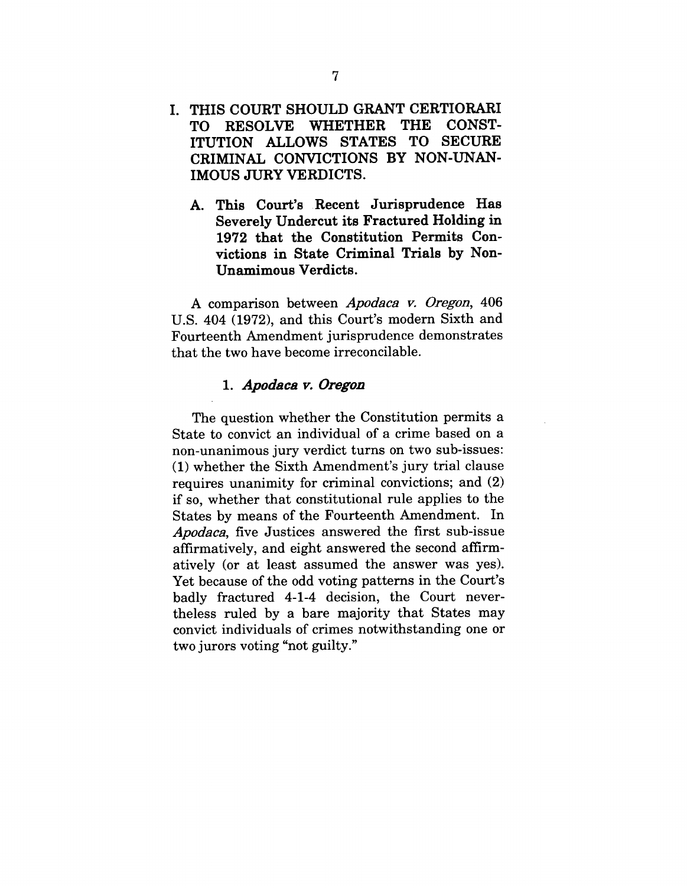- I. THIS COURT SHOULD GRANT CERTIORARI<br>TO RESOLVE WHETHER THE CONST-TO RESOLVE WHETHER ITUTION ALLOWS STATES TO SECURE CRIMINAL CONVICTIONS BY NON-UNAN-IMOUS JURY VERDICTS.
	- **This Court's Recent Jurisprudence Has Severely Undercut its Fractured Holding in 1972 that the Constitution Permits Convictions in State Criminal Trials by Non-Unamimous Verdicts.**

A comparison between *Apodaca v. Oregon,* 406 U.S. 404 (1972), and this Court's modern Sixth and Fourteenth Amendment jurisprudence demonstrates that the two have become irreconcilable.

#### 1. Apodaca v. Oregon

The question whether the Constitution permits a State to convict an individual of a crime based on a non-unanimous jury verdict turns on two sub-issues: (1) whether the Sixth Amendment's jury trial clause requires unanimity for criminal convictions; and (2) if so, whether that constitutional rule applies to the States by means of the Fourteenth Amendment. In *Apodaca,* five Justices answered the first sub-issue affirmatively, and eight answered the second affirmatively (or at least assumed the answer was yes). Yet because of the odd voting patterns in the Court's badly fractured 4-1-4 decision, the Court nevertheless ruled by a bare majority that States may convict individuals of crimes notwithstanding one or two jurors voting "not guilty."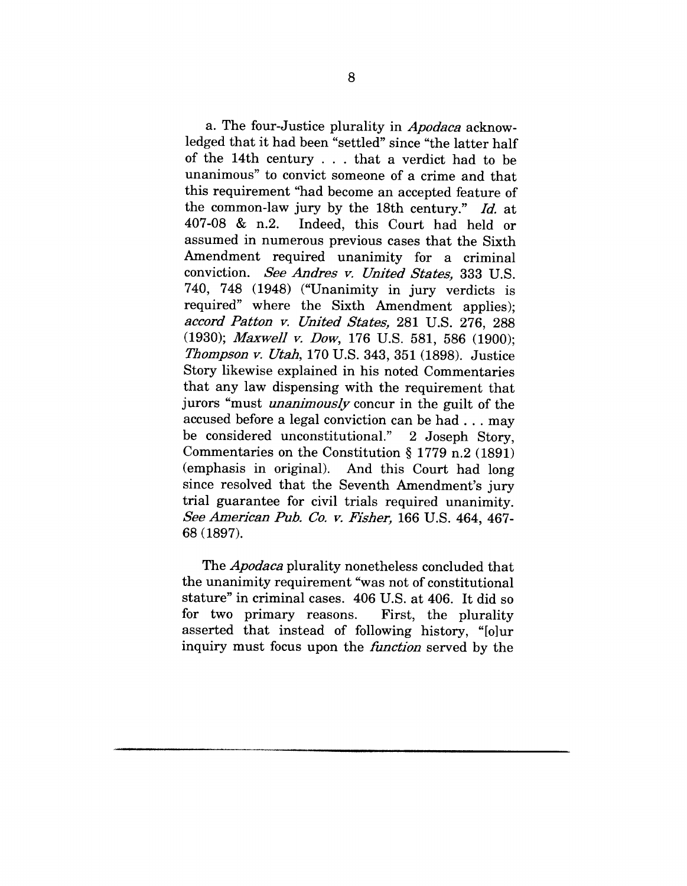a. The four-Justice plurality in *Apodaca* acknowledged that it had been "settled" since "the latter half of the 14th century  $\ldots$  that a verdict had to be unanimous" to convict someone of a crime and that this requirement "had become an accepted feature of the common-law jury by the 18th century." *Id.* at 407-08 & n.2. Indeed, this Court had held or assumed in numerous previous cases that the Sixth Amendment required unanimity for a criminal conviction. *See Andres v. United States,* 333 U.S. 740, 748 (1948) ("Unanimity in jury verdicts is required" where the Sixth Amendment applies); *accord Patton v. United States,* 281 U.S. 276, 288 (1930); *Maxwell v. Dow,* 176 U.S. 581, 586 (1900); *Thompson y. Utah,* 170 U.S. 343, 351 (1898). Justice Story likewise explained in his noted Commentaries that any law dispensing with the requirement that jurors "must *unanimously* concur in the guilt of the accused before a legal conviction can be had.., may be considered unconstitutional." 2 Joseph Story, Commentaries on the Constitution § 1779 n.2 (1891) (emphasis in original). And this Court had long since resolved that the Seventh Amendment's jury trial guarantee for civil trials required unanimity. *See American Pub. Co. v. Fisher,* 166 U.S. 464, 467- 68 (1897).

The *Apodaca* plurality nonetheless concluded that the unanimity requirement "was not of constitutional stature" in criminal cases. 406 U.S. at 406. It did so for two primary reasons. First, the plurality asserted that instead of following history, "[o]ur inquiry must focus upon the *function* served by the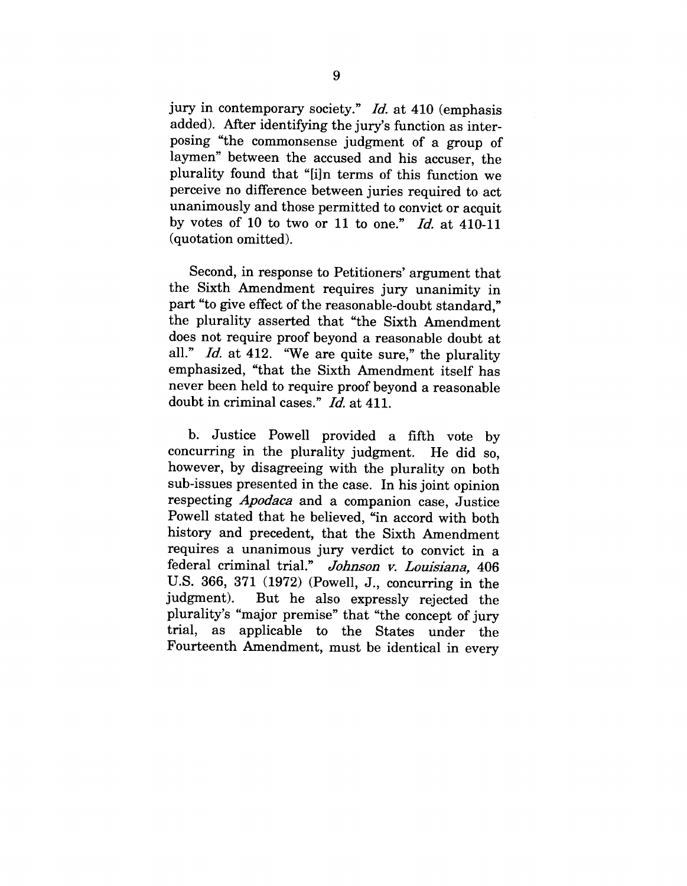jury in contemporary society." *Id.* at 410 (emphasis added). After identifying the jury's function as interposing "the commonsense judgment of a group of laymen" between the accused and his accuser, the plurality found that "[i]n terms of this function we perceive no difference between juries required to act unanimously and those permitted to convict or acquit by votes of 10 to two or 11 to one." *Id.* at 410-11 (quotation omitted).

Second, in response to Petitioners' argument that the Sixth Amendment requires jury unanimity in part "to give effect of the reasonable-doubt standard," the plurality asserted that "the Sixth Amendment does not require proof beyond a reasonable doubt at all." *Id.* at 412. "We are quite sure," the plurality emphasized, "that the Sixth Amendment itself has never been held to require proof beyond a reasonable doubt in criminal cases." *Id.* at 411.

b. Justice Powell provided a fifth vote by concurring in the plurality judgment. He did so, however, by disagreeing with the plurality on both sub-issues presented in the case. In his joint opinion respecting *Apodaca* and a companion case, Justice Powell stated that he believed, "in accord with both history and precedent, that the Sixth Amendment requires a unanimous jury verdict to convict in a federal criminal trial." *Johnson v. Louisiana,* 406 U.S. 366, 371 (1972) (Powell, J., concurring in the judgment). But he also expressly rejected the plurality's "major premise" that "the concept of jury trial, as applicable to the States under the Fourteenth Amendment, must be identical in every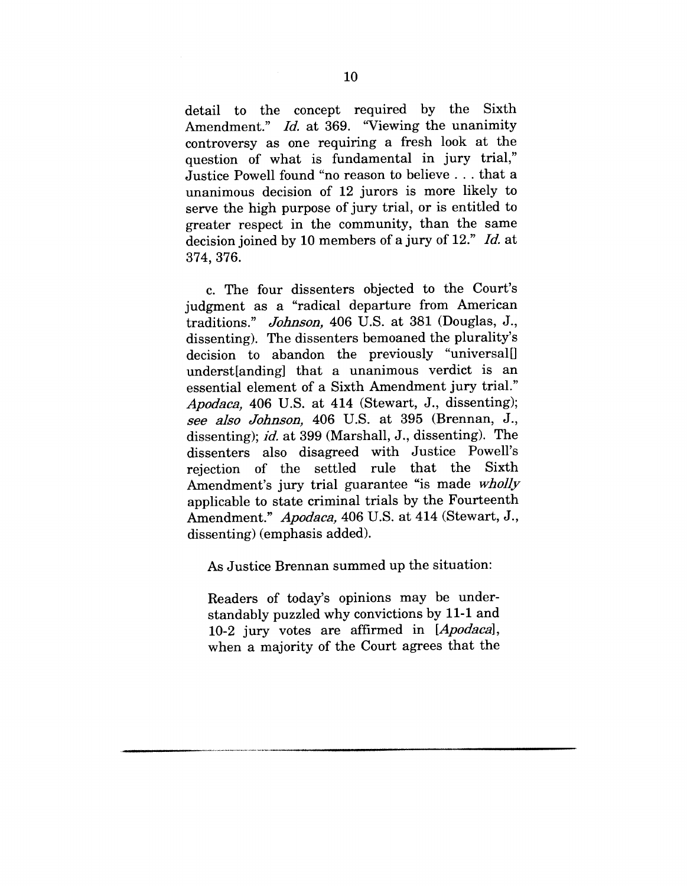detail to the concept required by the Sixth Amendment." *Id.* at 369. "Viewing the unanimity controversy as one requiring a fresh look at the question of what is fundamental in jury trial," Justice Powell found "no reason to believe.., that a unanimous decision of 12 jurors is more likely to serve the high purpose of jury trial, or is entitled to greater respect in the community, than the same decision joined by 10 members of a jury of 12." *Id.* at 374, 376.

c. The four dissenters objected to the Court's judgment as a "radical departure from American traditions." *Johnson,* 406 U.S. at 381 (Douglas, J., dissenting). The dissenters bemoaned the plurality's decision to abandon the previously "universal[] underst[anding] that a unanimous verdict is an essential element of a Sixth Amendment jury trial." *Apodaca,* 406 U.S. at 414 (Stewart, J., dissenting); see also Johnson, 406 U.S. at 395 (Brennan, J., dissenting); *id.* at 399 (Marshall, J., dissenting). The dissenters also disagreed with Justice Powell's rejection of the settled rule that the Sixth Amendment's jury trial guarantee "is made wholly applicable to state criminal trials by the Fourteenth Amendment." Apodaca, 406 U.S. at 414 (Stewart, J., dissenting) (emphasis added).

As Justice Brennan summed up the situation:

Readers of today's opinions may be understandably puzzled why convictions by 11-1 and 10-2 jury votes are affirmed in *[Apodaca],* when a majority of the Court agrees that the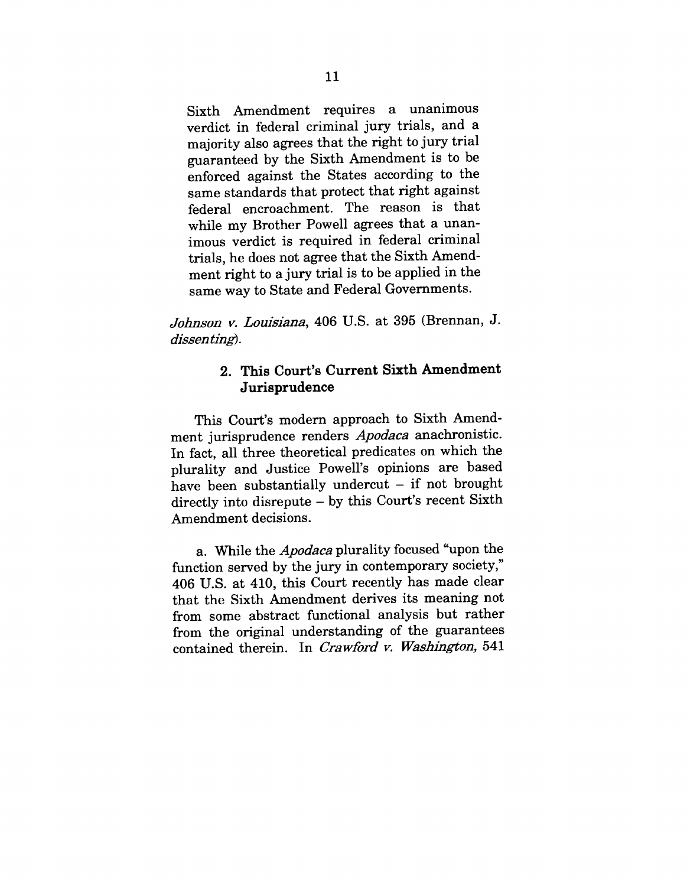Sixth Amendment requires a unanimous verdict in federal criminal jury trials, and a majority also agrees that the right to jury trial guaranteed by the Sixth Amendment is to be enforced against the States according to the same standards that protect that right against federal encroachment. The reason is that while my Brother Powell agrees that a unanimous verdict is required in federal criminal trials, he does not agree that the Sixth Amendment right to a jury trial is to be applied in the same way to State and Federal Governments.

*Johnson v. Louisiana,* 406 U.S. at 395 (Brennan, **J.** *dissenting).*

## **2. This Court's Current Sixth Amendment Jurisprudence**

This Court's modern approach to Sixth Amendment jurisprudence renders *Apodaca* anachronistic. In fact, all three theoretical predicates on which the plurality and Justice Powell's opinions are based have been substantially undercut  $-$  if not brought directly into disrepute - by this Court's recent Sixth Amendment decisions.

a. While the *Apodaca* plurality focused "upon the function served by the jury in contemporary society," 406 U.S. at 410, this Court recently has made clear that the Sixth Amendment derives its meaning not from some abstract functional analysis but rather from the original understanding of the guarantees contained therein. In *Crawford v. Washington,* 541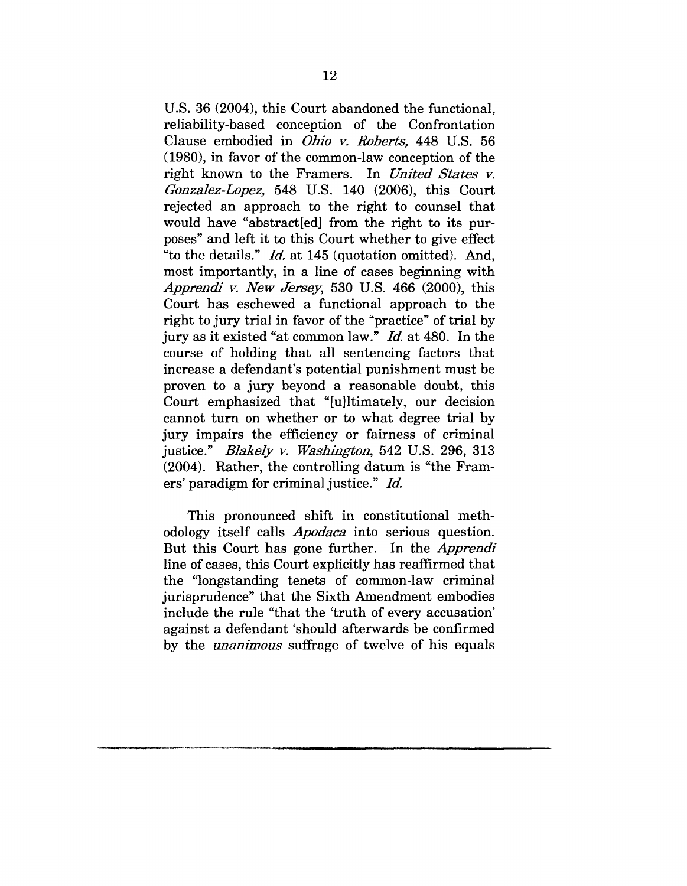U.S. 36 (2004), this Court abandoned the functional, reliability-based conception of the Confrontation Clause embodied in *Ohio v. Roberts,* 448 U.S. 56 (1980), in favor of the common-law conception of the right known to the Framers. In *United States v. Gonzalez-Lopez,* 548 U.S. 140 (2006), this Court rejected an approach to the right to counsel that would have "abstracted" from the right to its purposes" and left it to this Court whether to give effect "to the details." *Id.* at 145 (quotation omitted). And, most importantly, in a line of cases beginning with *Apprendi v. New Jersey,* 530 U.S. 466 (2000), this Court has eschewed a functional approach to the right to jury trial in favor of the "practice" of trial by jury as it existed *"at* common law." *Id.* at 480. In the course of holding that all sentencing factors that increase a defendant's potential punishment must be proven to a jury beyond a reasonable doubt, this Court emphasized that "[u]ltimately, our decision cannot turn on whether or to what degree trial by jury impairs the efficiency or fairness of criminal justice." *Blakely v. Washington,* 542 U.S. 296, 313 (2004). Rather, the controlling datum is "the Framers' paradigm for criminal justice." Id.

This pronounced shift in constitutional methodology itself calls *Apodaca* into serious question. But this Court has gone further. In the *Apprendi* line of cases, this Court explicitly has reaffirmed that the "longstanding tenets of common-law criminal jurisprudence" that the Sixth Amendment embodies include the rule "that the 'truth of every accusation' against a defendant 'should afterwards be confirmed by the *unanimous* suffrage of twelve of his equals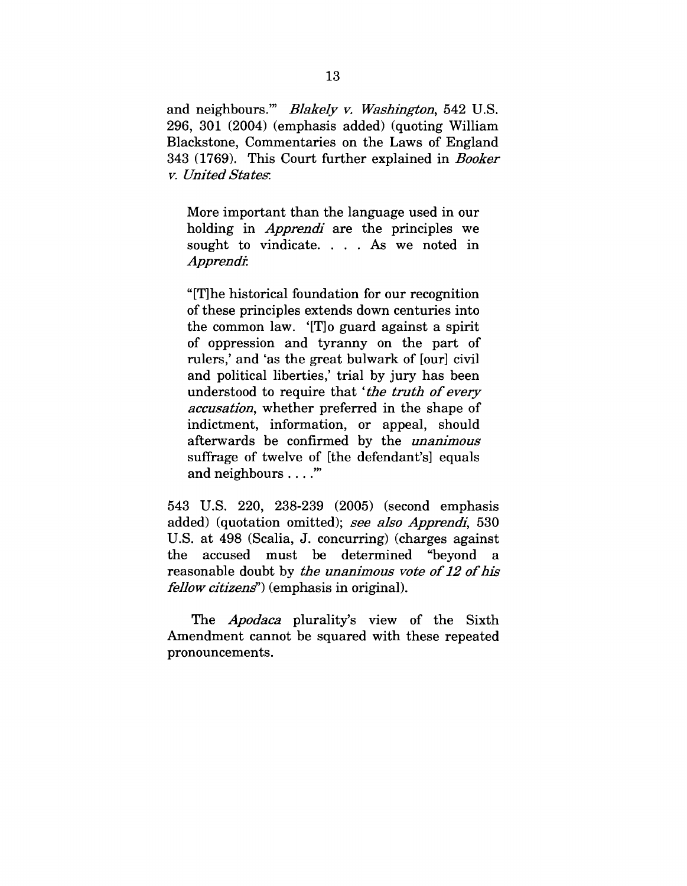and neighbours.'" *Blakely v. Washington,* 542 U.S. 296, 301 (2004) (emphasis added) (quoting William Blaekstone, Commentaries on the Laws of England 343 (1769). This Court further explained in *Booker v. United State~.*

More important than the language used in our holding in *Apprendi* are the principles we sought to vindicate. . . . As we noted in *Apprendi:*

"[T]he historical foundation for our recognition of these principles extends down centuries into the common law. '[T]o guard against a spirit of oppression and tyranny on the part of rulers,' and 'as the great bulwark of [our] civil and political liberties,' trial by jury has been understood to require that *'the truth of every accusation,* whether preferred in the shape of indictment, information, or appeal, should afterwards be confirmed by the *unanimous* suffrage of twelve of [the defendant's] equals and neighbours ...."

543 U.S. 220, 238-239 (2005) (second emphasis added) (quotation omitted); *see also Apprendi,* 530 U.S. at 498 (Scalia, J. concurring) (charges against the accused must be determined "beyond a reasonable doubt by *the unanimous vote of 12 of his fellow citizeng')* (emphasis in original).

*The Apodaca* plurality's view of the Sixth Amendment cannot be squared with these repeated pronouncements.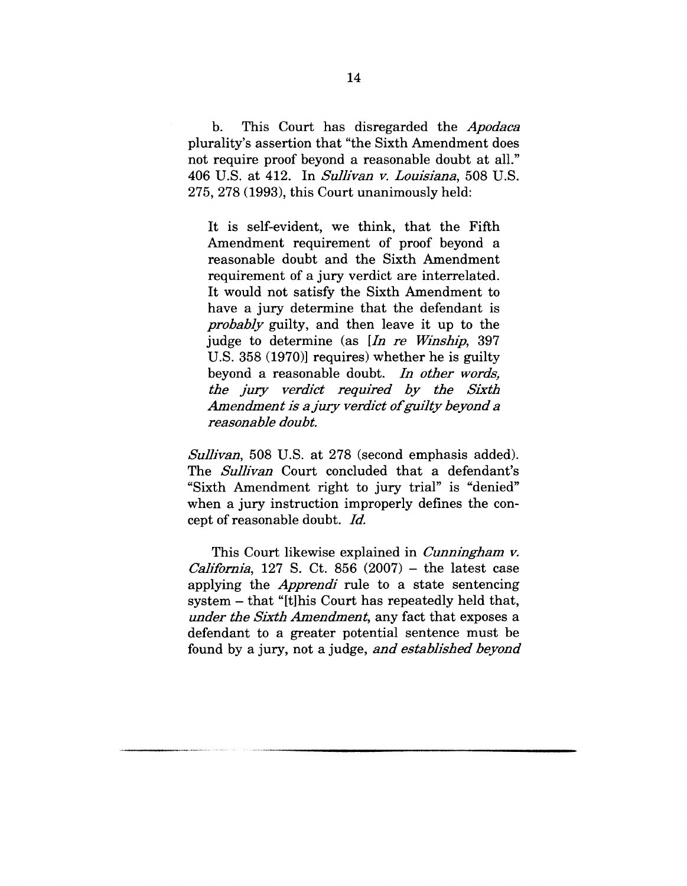b. This Court has disregarded the *Apodaca* plurality's assertion that "the Sixth Amendment does not require proof beyond a reasonable doubt at all." 406 U.S. at 412. In *Sullivan v. Louisiana,* 508 U.S. 275, 278 (1993), this Court unanimously held:

It is self-evident, we think, that the Fifth Amendment requirement of proof beyond a reasonable doubt and the Sixth Amendment requirement of a jury verdict are interrelated. It would not satisfy the Sixth Amendment to have a jury determine that the defendant is *probably* guilty, and then leave it up to the judge to determine (as *[In re Winship,* 397 U.S. 358 (1970)] requires) whether he is guilty beyond a reasonable doubt. *In other words, the jury verdict required by the Sixth Amendment is a jury verdict of guilty beyond a reasonable doubt.*

*Sullivan,* 508 U.S. at 278 (second emphasis added). The *Sullivan* Court concluded that a defendant's "Sixth Amendment right to jury trial" is "denied" when a jury instruction improperly defines the concept of reasonable doubt. *Id.*

This Court likewise explained in *Cunningham v. California,* 127 S. Ct. 856  $(2007)$  – the latest case applying the *Apprendi* rule to a state sentencing system - that "[t]his Court has repeatedly held that, *under the Sixth Amendment,* any fact that exposes a defendant to a greater potential sentence must be found by a jury, not a judge, *and established beyond*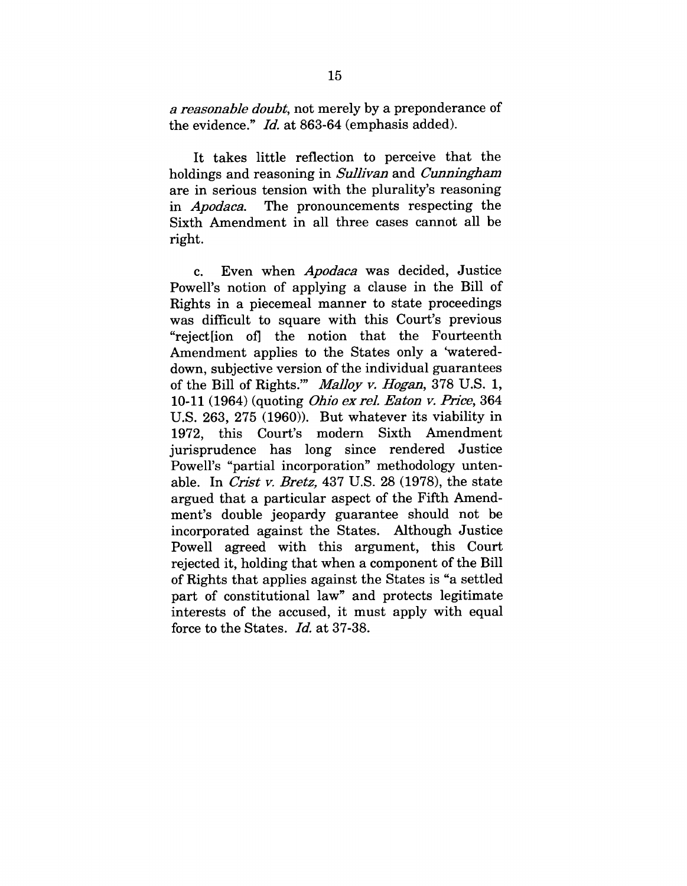*a reasonable doubt,* not merely by a preponderance of the evidence." *Id.* at 863-64 (emphasis added).

It takes little reflection to perceive that the holdings and reasoning in *Sullivan* and *Cunningham* are in serious tension with the plurality's reasoning in *Apodaca.* The pronouncements respecting the Sixth Amendment in all three cases cannot all be right.

c. Even when *Apodaca* was decided, Justice Powell's notion of applying a clause in the Bill of Rights in a piecemeal manner to state proceedings was difficult to square with this Court's previous "reject[ion oil the notion that the Fourteenth Amendment applies to the States only a 'watereddown, subjective version of the individual guarantees of the Bill of Rights.'" *Malloy v. Hogan,* 378 U.S. 1, 10-11 (1964) (quoting *Ohio ex* re/. *Eaton v. Price,* 364 U.S. 263, 275 (1960)). But whatever its viability in 1972, this Court's modern Sixth Amendment jurisprudence has long since rendered Justice Powell's "partial incorporation" methodology untenable. In *Crist v. Bretz,* 437 U.S. 28 (1978), the state argued that a particular aspect of the Fifth Amendment's double jeopardy guarantee should not be incorporated against the States. Although Justice Powell agreed with this argument, this Court rejected it, holding that when a component of the Bill of Rights that applies against the States is "a settled part of constitutional law" and protects legitimate interests of the accused, it must apply with equal force to the States. *Id.* at 37-38.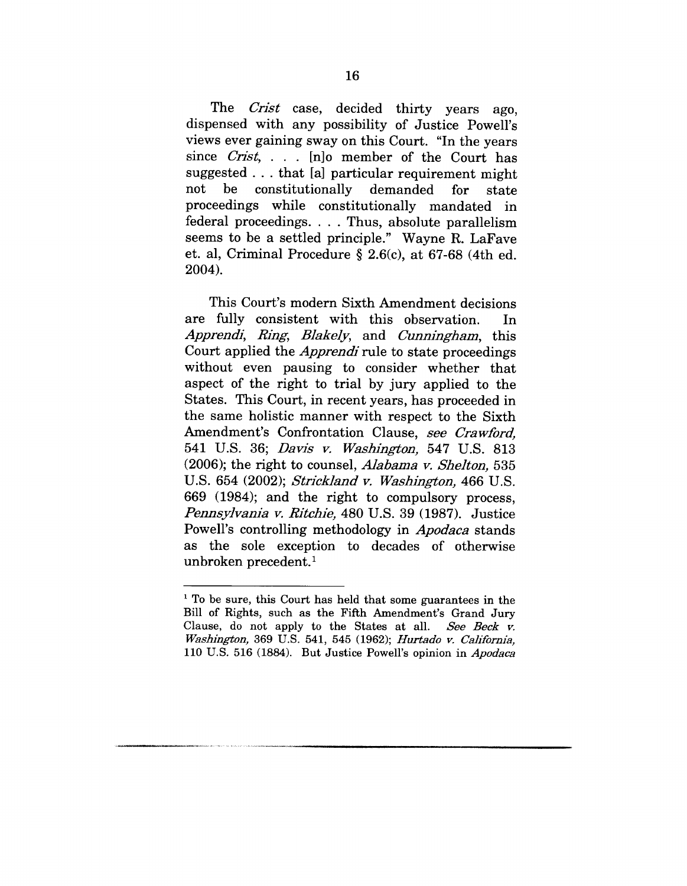The *Crist* case, decided thirty years ago. dispensed with any possibility of Justice Powell's views ever gaining sway on this Court. "In the years since *Crist*, ... [n]o member of the Court has suggested.., that [a] particular requirement might not be constitutionally demanded not be constitutionally demanded for state<br>proceedings while constitutionally mandated in for federal proceedings .... Thus, absolute parallelism seems to be a settled principle." Wayne R. LaFave et. al, Criminal Procedure § 2.6(c), at 67-68 (4th ed. 2004).

This Court's modern Sixth Amendment decisions are fully consistent with this observation. In *Apprendi, Ring, Blakelj~,* and *Cunningham,* this Court applied the *Apprendi* rule to state proceedings without even pausing to consider whether that aspeet of the right to trial by jury applied to the States. This Court, in recent years, has proceeded in the same holistie manner with respect to the Sixth Amendment's Confrontation Clause, *see Crawford,* 541 U.S. 36; *Davis v. Washington,* 547 U.S. 813 (2006); the right to counsel, *Alabama v. Shelton,* 535 U.S. 654 (2002); *Striekland v. Washington,* 466 U.S. 669 (1984); and the right to compulsory proeess, *Pennsylvania v. Ritehie,* 480 U.S. 39 (1987). Justice Powell's controlling methodology in *Apodaca* stands as the sole exeeption to decades of otherwise unbroken precedent.<sup>1</sup>

<sup>&</sup>lt;sup>1</sup> To be sure, this Court has held that some guarantees in the Bill of Rights, such as the Fifth Amendment's Grand Jury Clause, do not apply to the States at all. *See Beck v. Washington,* 369 U.S. 541, 545 (1962); *Hurtado v. California,* 110 U.S. 516 (1884). But Justice Powell's opinion in *Apodaea*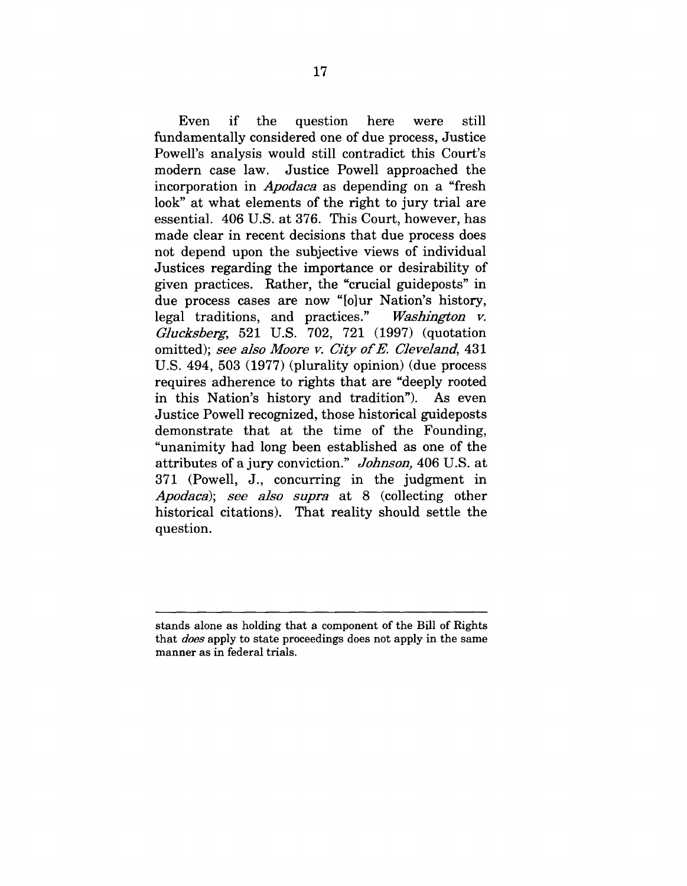Even if the question here still were fundamentally considered one of due process, Justice Powell's analysis would still contradict this Court's modern case law. Justice Powell approached the incorporation in *Apodaca* as depending on a "fresh look" at what elements of the right to jury trial are essential. 406 U.S. at 376. This Court, however, has made clear in recent decisions that due process does not depend upon the subjective views of individual Justices regarding the importance or desirability of given practices. Rather, the "crucial guideposts" in due process cases are now "[o]ur Nation's history, legal traditions, and practices." *Washington v. Glucksberg*, 521 U.S. 702, 721 (1997) (quotation omitted); see also Moore v. City of E. Cleveland, 431 U.S. 494, 503 (1977) (plurality opinion) (due process requires adherence to rights that are "deeply rooted in this Nation's history and tradition"). As even Justice Powell recognized, those historical guideposts demonstrate that at the time of the Founding, "unanimity had long been established as one of the attributes of a jury conviction." *Johnson,* 406 U.S. at 371 (Powell, J., concurring in the judgment in *Apodaea); see also supra* at 8 (collecting other historical citations). That reality should settle the question.

stands alone as holding that a component of the Bill of Rights that *does* apply to state proceedings does not apply in the same manner as in federal trials.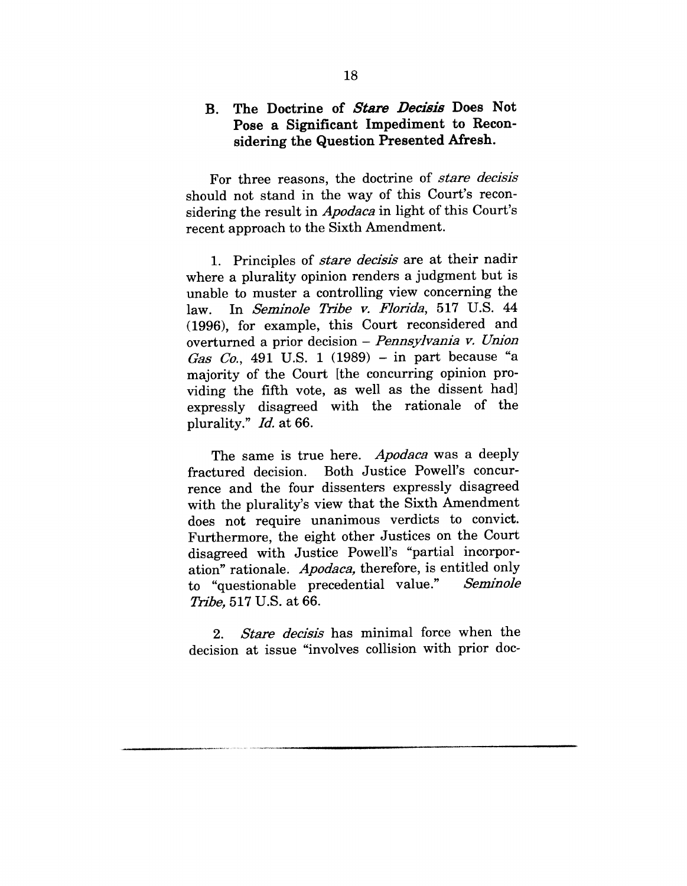## B. The Doctrine of *Stare Decisis* Does Not **Pose a Significant Impediment to Reconsidering the Question Presented Afresh.**

For three reasons, the doctrine of *stare decisis* should not stand in the way of this Court's reconsidering the result in *Apodaca* in light of this Court's recent approach to the Sixth Amendment.

1. Principles of *stare decisis* are at their nadir where a plurality opinion renders a judgment but is unable to muster a controlling view concerning the law. In *Seminole Tribe v. Florida*, 517 U.S. 44 (1996), for example, this Court reconsidered and overturned a prior decision - *Pennsylvania v. Union Gas Co.,* 491 U.S. 1 (1989) -in part because *"a* majority of the Court [the concurring opinion providing the fifth vote, as well as the dissent had] expressly disagreed with the rationale of the plurality." *Id.* at 66.

The same is true here. *Apodaca* was a deeply fractured decision. Both Justice Powell's concurrence and the four dissenters expressly disagreed with the plurality's view that the Sixth Amendment does not require unanimous verdicts to convict. Furthermore, the eight other Justices on the Court disagreed with Justice Powell's "partial incorporation" rationale. *Apodaca*, therefore, is entitled only<br>to "questionable precedential value." Seminole to "questionable precedential value." *Tribe,* 517 U.S. at 66.

*2. Stare decisis* has minimal force when the decision at issue "involves collision with prior doc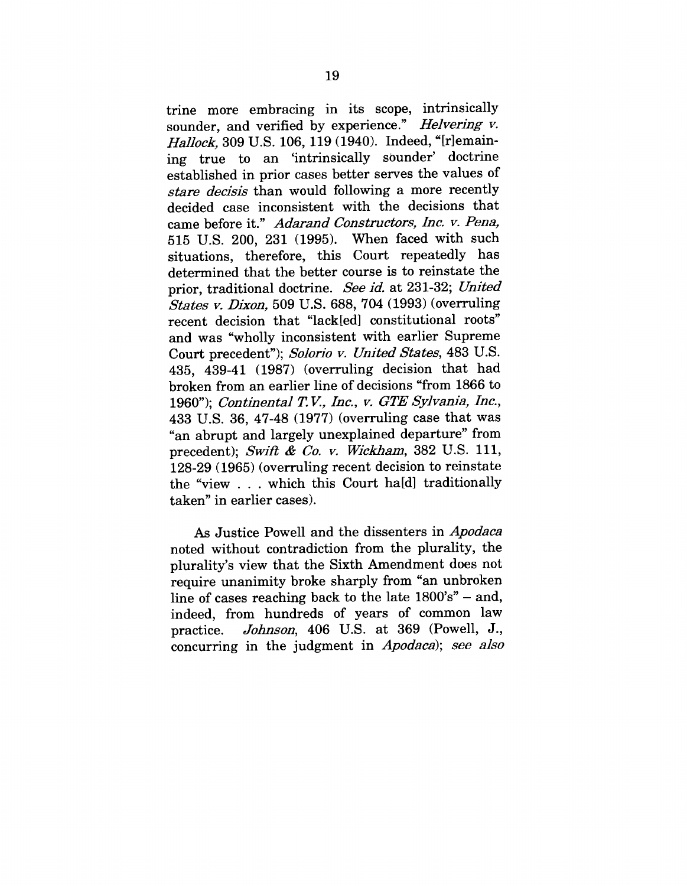trine more embracing in its scope, intrinsically sounder, and verified by experience." *Helvering v. HaIIock,* 309 U.S. 106, 119 (1940). Indeed, "[r]emaining true to an 'intrinsically sounder' doctrine established in prior cases better serves the values of *stare decisis* than would following a more recently decided case inconsistent with the decisions that came before it." *Adarand Constructors, Inc. v. Pena,* 515 U.S. 200, 231 (1995). When faced with such situations, therefore, this Court repeatedly has determined that the better course is to reinstate the prior, traditional doctrine. *See id.* at 231-32; *United States v. Dixon,* 509 U.S. 688, 704 (1993) (overruling recent decision that "lack[ed] constitutional roots" and was "wholly inconsistent with earlier Supreme Court precedent"); *Solorio y. United States,* 483 U.S. 435, 439-41 (1987) (overruling decision that had broken from an earlier line of decisions "from 1866 to 1960"); *Continental T V., Inc., v. GTE Sylvania, Inc.,* 433 U.S. 36, 47-48 (1977) (overruling case that was *"an* abrupt and largely unexplained departure" from precedent); *Swift & Co. v. Wickharn,* 382 U.S. 111, 128-29 (1965) (overruling recent decision to reinstate the "view . . . which this Court ha[d] traditionally taken" in earlier cases).

As Justice Powell and the dissenters in *Apodaca* noted without contradiction from the plurality, the plurality's view that the Sixth Amendment does not require unanimity broke sharply from "an unbroken line of cases reaching back to the late  $1800's'' -$  and, indeed, from hundreds of years of common law practice. *Johnson,* 406 U.S. at 369 (Powell, J., concurring in the judgment in *Apodaca); see also*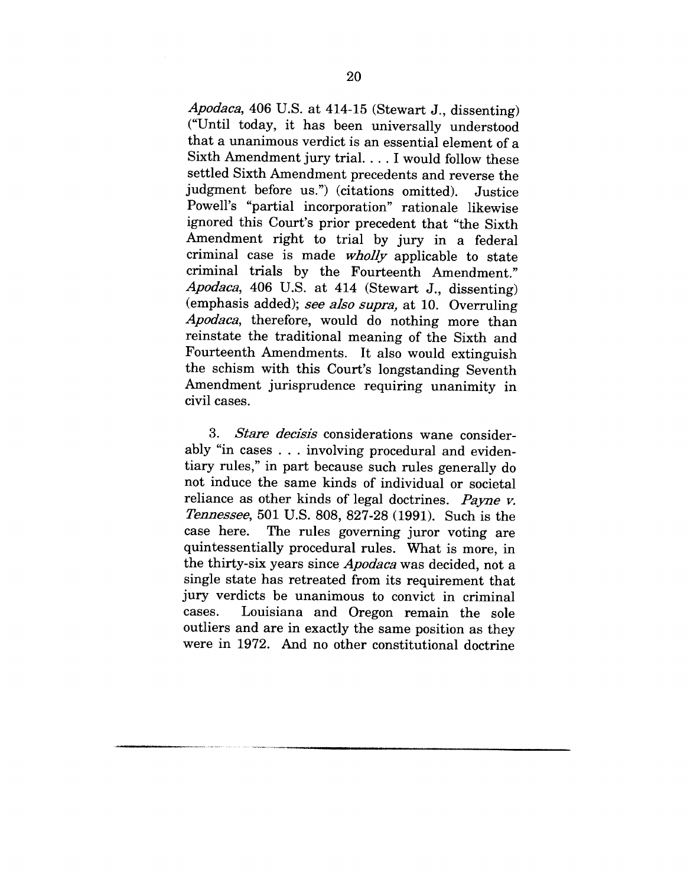*Apodaca,* 406 U.S. at 414-15 (Stewart J., dissenting) ("Until today, it has been universally understood that a unanimous verdict is an essential element of a Sixth Amendment jury trial .... I would follow these settled Sixth Amendment precedents and reverse the judgment before us.") (citations omitted). Justice Powell's "partial incorporation" rationale likewise ignored this Court's prior precedent that "the Sixth Amendment right to trial by jury in a federal criminal case is made *wholly* applicable to state criminal trials by the Fourteenth Amendment." *Apodaca,* 406 U.S. at 414 (Stewart J., dissenting) (emphasis added); *see also supra,* at 10. Overruling *Apodaca,* therefore, would do nothing more than reinstate the traditional meaning of the Sixth and Fourteenth Amendments. It also would extinguish the schism with this Court's longstanding Seventh Amendment jurisprudence requiring unanimity in civil cases.

*3. Stare decisis* considerations wane considerably "in cases . . . involving procedural and evidentiary rules," in part because such rules generally do not induce the same kinds of individual or societal reliance as other kinds of legal doctrines. *Payne v. Tennessee,* 501 U.S. 808, 827-28 (1991). Such is the case here. The rules governing juror voting are quintessentially procedural rules. What is more, in the thirty-six years since *Apodaca* was decided, not a single state has retreated from its requirement that jury verdicts be unanimous to convict in criminal cases. Louisiana and Oregon remain the sole outliers and are in exactly the same position as they were in 1972. And no other constitutional doctrine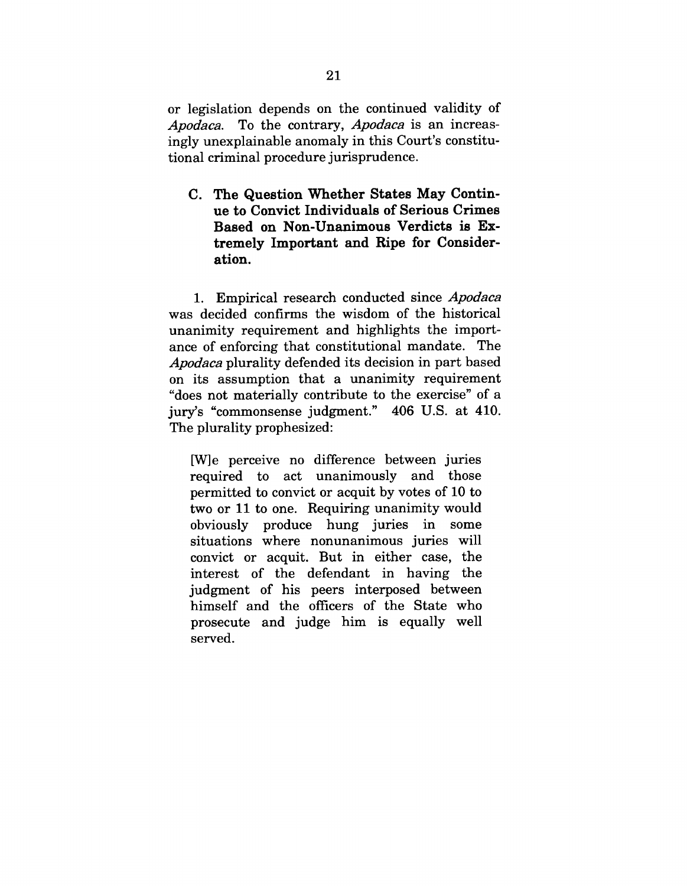or legislation depends on the continued validity of *Apodaca.* To the contrary, *Apodaca* is an increasingly unexplainable anomaly in this Court's constitutional criminal procedure jurisprudence.

C. The Question Whether States May Contin**ue to Convict Individuals of Serious Crimes Based on Non-Unanimous Verdicts is Extremely Important and Ripe for Consideration.**

1. Empirical research conducted since *Apodaca* was decided confirms the wisdom of the historical unanimity requirement and highlights the importance of enforcing that constitutional mandate. The *Apodaca* plurality defended its decision in part based on its assumption that a unanimity requirement "does not materially contribute to the exercise" of a jury's "commonsense judgment." 406 U.S. at 410. The plurality prophesized:

[W]e perceive no difference between juries required to act unanimously and those permitted to convict or acquit by votes of 10 to two or 11 to one. Requiring unanimity would obviously produce hung juries in some situations where nonunanimous juries will convict or acquit. But in either case, the interest of the defendant in having the judgment of his peers interposed between himself and the officers of the State who prosecute and judge him is equally well served.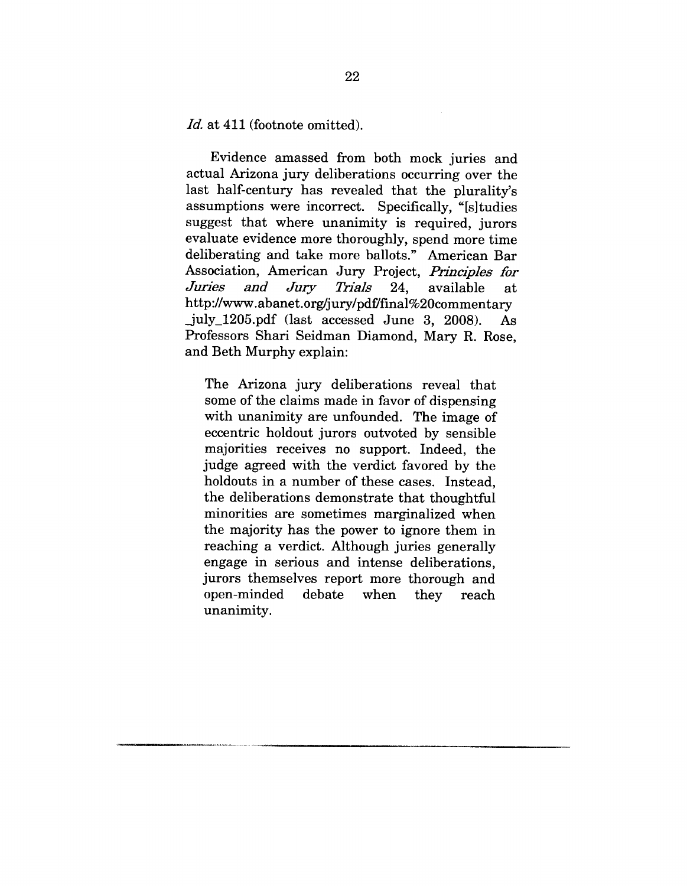Id. at 411 (footnote omitted).

Evidence amassed from both mock juries and actual Arizona jury deliberations occurring over the last half-century has revealed that the plurality's assumptions were incorrect. Specifically, "[s]tudies suggest that where unanimity is required, jurors evaluate evidence more thoroughly, spend more time deliberating and take more ballots." American Bar Association, American Jury Project, *Principles for Juries and Jury Trials 24,* available at http://www.abanet.org/jury/pdf/final%20commentary \_july\_1205.pdf (last accessed June 3, 2008). As Professors Shari Seidman Diamond, Mary R. Rose, and Beth Murphy explain:

The Arizona jury deliberations reveal that some of the claims made in favor of dispensing with unanimity are unfounded. The image of eccentric holdout jurors outvoted by sensible majorities receives no support. Indeed, the judge agreed with the verdict favored by the holdouts in a number of these cases. Instead, the deliberations demonstrate that thoughtful minorities are sometimes marginalized when the majority has the power to ignore them in reaching a verdict. Although juries generally engage in serious and intense deliberations, jurors themselves report more thorough and open-minded debate when they reach unanimity.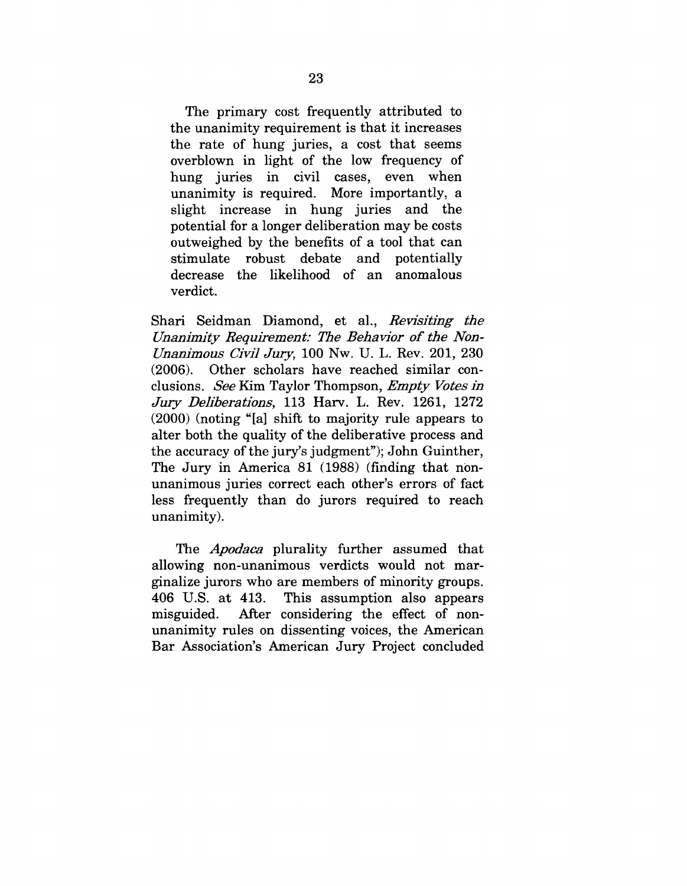The primary cost frequently attributed to the unanimity requirement is that it increases the rate of hung juries, a cost that seems overblown in light of the low frequency of hung juries in civil cases, even when unanimity is required. More importantly, a slight increase in hung juries and the potential for a longer deliberation may be costs outweighed by the benefits of a tool that can stimulate robust debate and potentially decrease the likelihood of an anomalous verdict.

Shari Seidman Diamond, et al., *Revisiting the Unanimity Requirement: The Behavior of the Non-Unanimous Civil Jury,* 100 Nw. U. L. Rev. 201, 230 (2006). Other scholars have reached similar eonelusions. *See* Kim Taylor Thompson, *Empty Votes in* Jury *Deliberations,* 113 Harv. L. Rev. 1261, 1272 (2000) (noting "[a] shift to majority rule appears to alter both the quality of the deliberative process and the accuracy of the jury's judgment"); John Guinther, The Jury in America 81 (1988) (finding that nonunanimous juries correct each other's errors of fact less frequently than do jurors required to reach unanimity).

The *Apodaca* plurality further assumed that allowing non-unanimous verdicts would not marginalize jurors who are members of minority groups. 406 U.S. at 413. This assumption also appears misguided. After considering the effect of nonunanimity rules on dissenting voices, the American Bar Association's American Jury Project concluded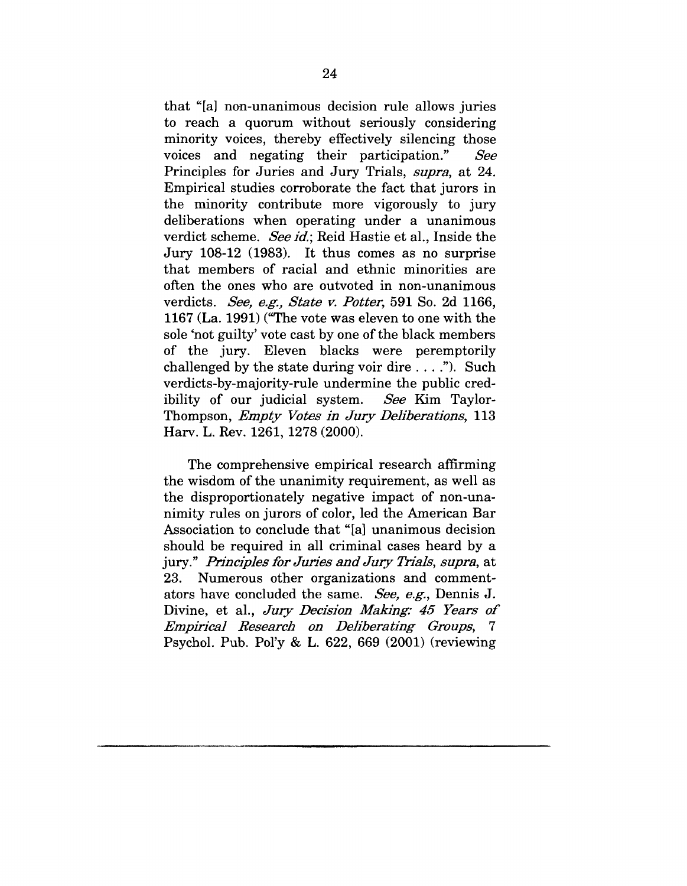that "[a] non-unanimous decision rule allows juries to reach a quorum without seriously considering minority voices, thereby effectively silencing those voices and negating their participation." **See** Principles for Juries and Jury Trials, *supra,* at 24. Empirical studies corroborate the fact that jurors in the minority contribute more vigorously to jury deliberations when operating under a unanimous verdict scheme. *See id.;* Reid Hastie et al., Inside the Jury 108-12 (1983). It thus comes as no surprise that members of racial and ethnic minorities are often the ones who are outvoted in non-unanimous verdicts. *See, e.g., State v. Potter,* 591 So. 2d 1166, 1167 (La. 1991) ("The vote was eleven to one with the sole 'not guilty' vote cast by one of the black members of the jury. Eleven blacks were peremptorily challenged by the state during voir dire  $\dots$ ."). Such verdicts-by-majority-rule undermine the public credibility of our judicial system. *See* Kim Taylor-Thompson, *Empty Votes in Jury Deliberations,* 113 Harv. L. Rev. 1261, 1278 (2000).

The comprehensive empirical research affirming the wisdom of the unanimity requirement, as well as the disproportionately negative impact of non-unanimity rules on jurors of color, led the American Bar Association to conclude that "[a] unanimous decision should be required in all criminal cases heard by a jury." *Principles for Juries and Jury Trials, supra, at* 23. Numerous other organizations and commentators have concluded the same. See, e.g., Dennis J. Divine, et al., *Jury Decision Making: 45 Years of Empirical Research on Deliberating Groups, 7* Psyehol. Pub. Pol'y & L. 622, 669 (2001) (reviewing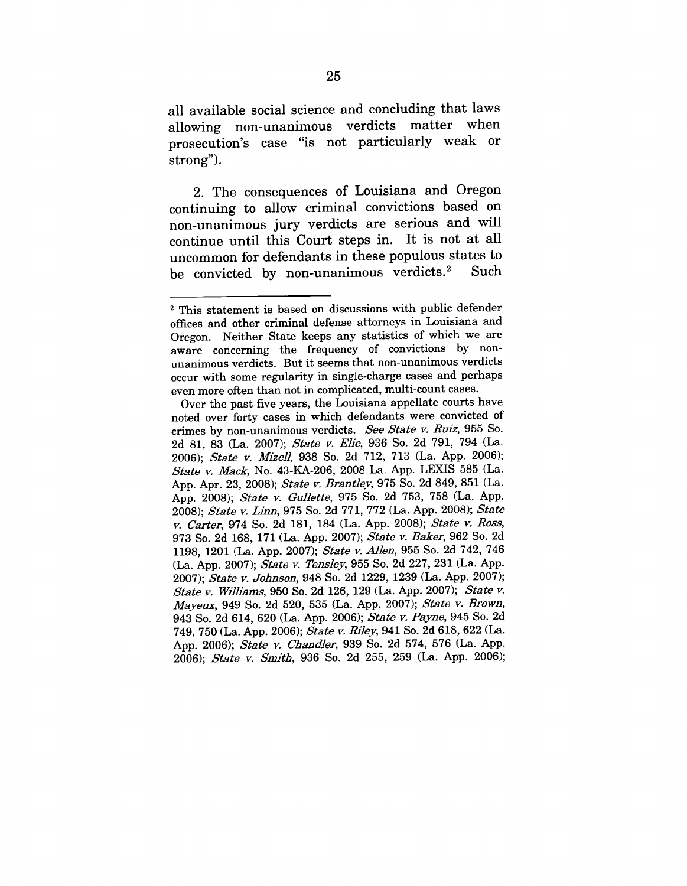**all available social science and concluding that laws allowing non-unanimous verdicts matter when prosecution's case "is not particularly weak or strong").**

**2. The consequences of Louisiana and Oregon continuing to allow criminal convictions based on non-unanimous jury verdicts are serious and will continue until this Court steps in. It is not at all uncommon for defendants in these populous states to be convicted by non-unanimous verdicts.2 Such**

<sup>2</sup> This statement is based on discussions with public defender offices and other criminal defense attorneys in Louisiana and Oregon. Neither State keeps any statistics of which we are aware concerning the frequency of convictions by nonunanimous verdicts. But it seems that non-unanimous verdicts occur with some regularity in single-charge cases and perhaps even more often than not in complicated, multi-count cases.

Over the past five years, the Louisiana appellate courts have noted over forty cases in which defendants were convicted of crimes by non-unanimous verdicts. *See State v. Ruiz,* 955 So. 2d 81, 83 (La. 2007); *State v. Elie*, 936 So. 2d 791, 794 (La. 2006); *State v. Mize]I,* 938 So. 2d 712, 713 (La. App. 2006); *State ~. Mack,* No. 43-KA-206, 2008 La. App. LEXIS 585 (La. App. Apr. 23, 2008); *State v. Brantley*, 975 So. 2d 849, 851 (La. App. 2008); *State v. Gullette*, 975 So. 2d 753, 758 (La. App. 2008); *State v. Linn*, 975 So. 2d 771, 772 (La. App. 2008); *State ~. Csrter,* 974 So. 2d 181, 184 (La. App. 2008); *State ~. Ross,* 973 So. 2d 168, 171 (La. App. 2007); *State ~.* Baker, 962 So. 2d 1198, 1201 (La. App. 2007); *State ~. Allen,* 955 So. 2d 742, 746 (La. App. 2007); *State v. Tensley*, 955 So. 2d 227, 231 (La. App. 2007); *State v. Johnson*, 948 So. 2d 1229, 1239 (La. App. 2007); *State ~. Williams,* 950 So. 2d 126, 129 (La. App. 2007); *State ~. Ma~'e~x,* 949 So. 2d 520, 535 (La. App. 2007); *State ~. Brown,* 943 So. 2d 614, 620 (La. App. 2006); State v. Payne, 945 So. 2d 749, 750 (La. App. 2006); *State ~. Riley,* 941 So. 2d 618, 622 (La. App. 2006); *State v. Chandler*, 939 So. 2d 574, 576 (La. App. 2006); *State v. Smith*, 936 So. 2d 255, 259 (La. App. 2006);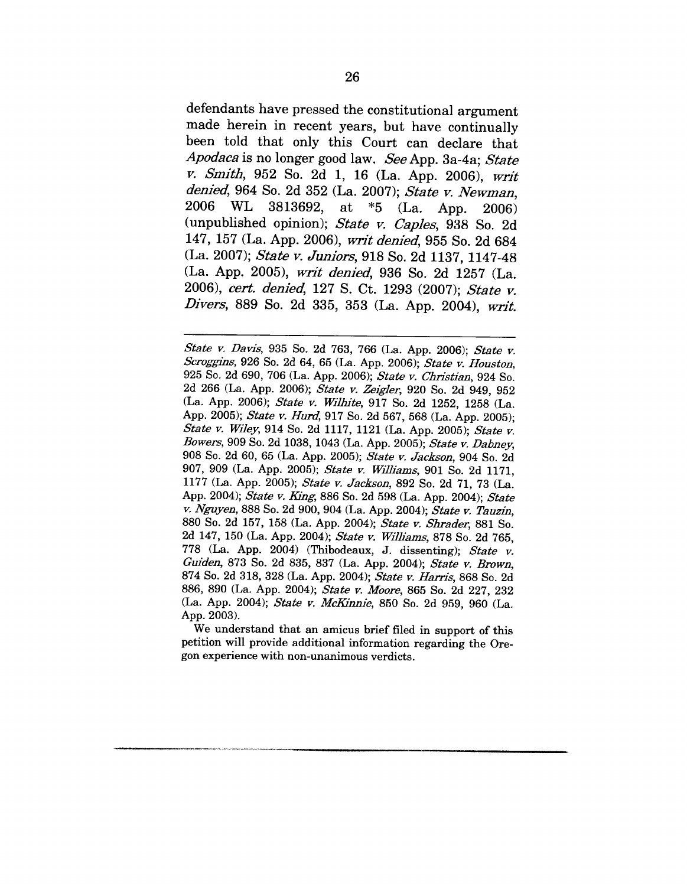defendants have pressed the constitutional argument made herein in recent years, but have continually been told that only this Court can declare that *Apodaca* is no longer good law. *See* App. 3a-4a; *State v. Smith,* 952 So. 2d 1, 16 (La. App. 2006), *writ denied,* 964 So. 2d 352 (La. 2007); *State v. Newman,* 2006 WL 3813692, at  $*5$  (La. App. 2006) (unpublished opinion); *State v. Caples,* 938 So. 2d 147, 157 (La. App. 2006), *writ denied,* 955 So. 2d 684 (La. 2007); *State v. Juniors,* 918 So. 2d 1137, 1147-48 (La. App. 2005), *w~fft denied,* 936 So. 2d 1257 (La. 2006), *cert. denied,* 127 S. Ct. 1293 (2007); *State v. Divers,* 889 So. 2d 335, 353 (La. App. 2004), *writ.*

*State v. Davis,* 935 So. 2d 763, 766 (La. App. 2006); *State v. Scroggins,* 926 So. 2d 64, 65 (La. App. 2006); *State v. Houston,* 925 So. 2d 690, 706 (La. App. 2006); *State v. Christian,* 924 So. 2d 266 (La. App. 2006); *State v. Zeigler,* 920 So. 2d 949, 952 (La. App. 2006); *State v. Wiltn'te,* 917 So. 2d 1252, 1258 (La. App. 2005); *State v. Hurd,* 917 So. 2d 567, 568 (La. App. 2005); *State v. Wiley,* 914 So. 2d 1117, 1121 (La. App. 2005); *State v. Bowers,* 909 So. 2d 1038, 1043 (La. App. 2005); *State v. Dabney,* 908 So. 2d 60, 65 (La. App. 2005); *State v. Jackson,* 904 So. 2d 907, 909 (La. App. 2005); *State v. Williams,* 901 So. 2d 1171, 1177 (La. App. 2005); *State v. Jackson,* 892 So. 2d 71, 73 (La. App. 2004); *State v. King*, 886 So. 2d 598 (La. App. 2004); *State v. Nguyen,* 888 So. 2d 900, 904 (La. App. 2004); *State v. Tauzin,* 880 So. 2d 157, 158 (La. App. 2004); *State v. Shrader,* 881 So. 2d 147, 150 (La. App. 2004); *State v. Williams,* 878 So. 2d 765, 778 (La. App. 2004) (Thibodeaux, J. dissenting); *State v. Guiden,* 873 So. 2d 835, 837 (La. App. 2004); *State v. Brown,* 874 So. 2d 318, 328 (La. App. 2004); *State v. Harris,* 868 So. 2d 886, 890 (La. App. 2004); *State v. Moore,* 865 So. 2d 227, 232 (La. App. 2004); *State v. McKinnie*, 850 So. 2d 959, 960 (La. App. 2003).

We understand that an amicus brief filed in support of this petition will provide additional information regarding the Oregon experience with non-unanimous verdicts.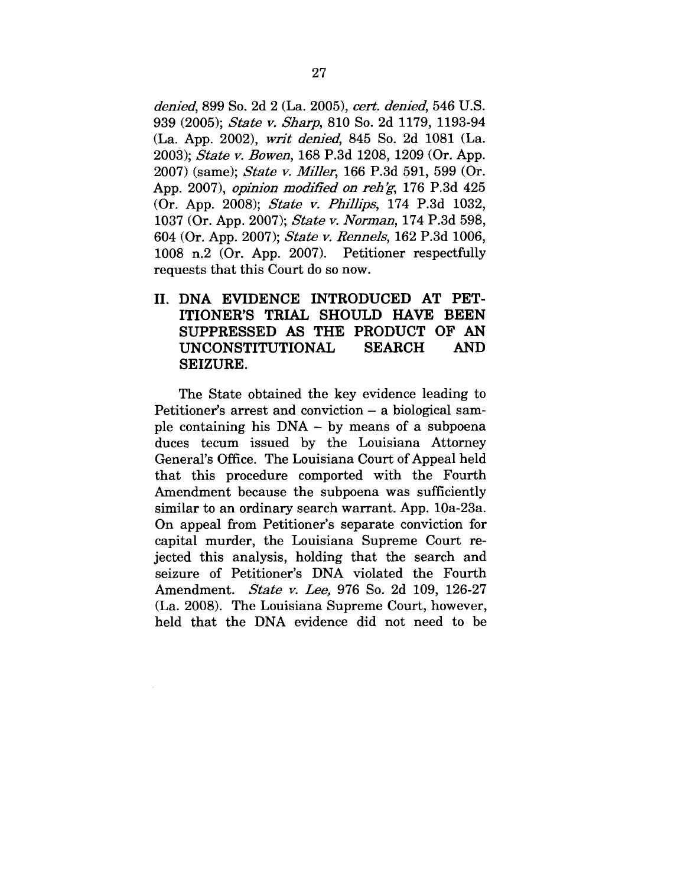*denied,* 899 So. 2d 2 (La. 2005), *cert. denied,* 546 U.S. 939 (2005); *State v. Sharp,* 810 So. 2d 1179, 1193-94 (La. App. 2002), *w~4t denied,* 845 So. 2d 1081 (La. 2003); *State v. Bowen,* 168 P.3d 1208, 1209 (Or. App. 2007) (same); *State v. Miller,* 166 P.3d 591, 599 (Or. App. 2007), *opinion modified on reh'g*, 176 P.3d 425 (Or. App. 2008); *State v. Phillips,* 174 P.3d 1032, 1037 (Or. App. 2007); *State v. Norman,* 174 P.3d 598, 604 (Or. App. 2007); *State v. Rennels,* 162 P.3d 1006, 1008 n.2 (Or. App. 2007). Petitioner respectfully requests that this Court do so now.

**II. DNA EVIDENCE INTRODUCED AT PET-ITIONER'S TRIAL SHOULD HAVE BEEN SUPPRESSED AS THE PRODUCT OF AN UNCONSTITUTIONAL SEARCH AND SEIZURE.**

The State obtained the key evidence leading to Petitioner's arrest and conviction – a biological sample containing his DNA - by means of a subpoena duces tecum issued by the Louisiana Attorney General's Office. The Louisiana Court of Appeal held that this procedure comported with the Fourth Amendment because the subpoena was sufficiently similar to an ordinary search warrant. App. 10a-23a. On appeal from Petitioner's separate conviction for capital murder, the Louisiana Supreme Court rejected this analysis, holding that the search and seizure of Petitioner's DNA violated the Fourth Amendment. *State v. Lee,* 976 So. 2d 109, 126-27 (La. 2008). The Louisiana Supreme Court, however, held that the DNA evidence did not need to be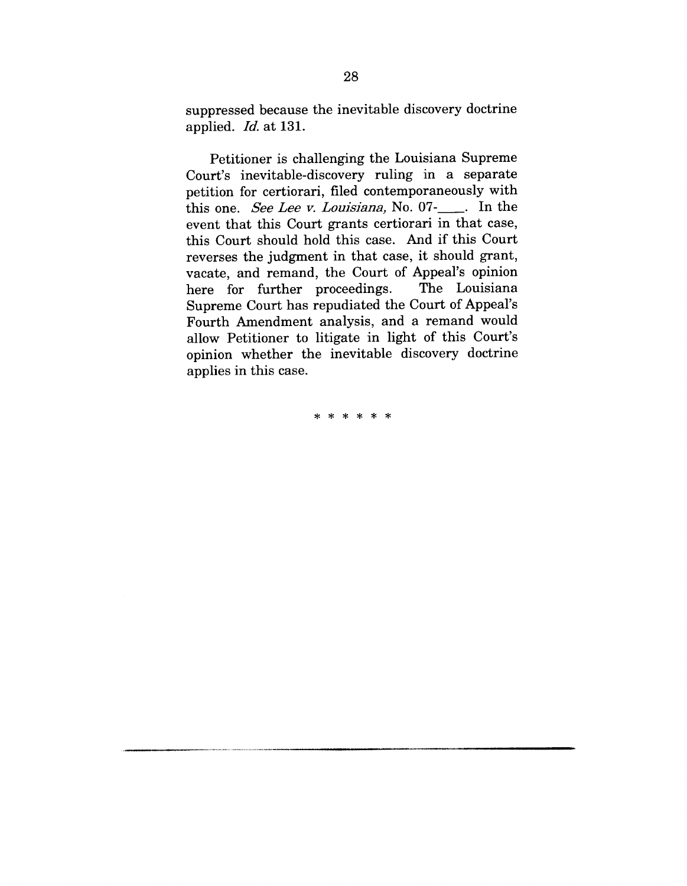suppressed because the inevitable discovery doctrine applied. *Id.* at 131.

Petitioner is challenging the Louisiana Supreme Court's inevitable-discovery ruling in a separate petition for certiorari, filed contemporaneously with this one. *See Lee v. Louisiana*, No. 07- <sub>1</sub>. In the event that this Court grants certiorari in that case, this Court should hold this case. And if this Court reverses the judgment in that case, it should grant, vacate, and remand, the Court of Appeal's opinion here for further proceedings. Supreme Court has repudiated the Court of Appeal's Fourth Amendment analysis, and a remand would allow Petitioner to litigate in light of this Court's opinion whether the inevitable discovery doctrine applies in this case.

\* \* \* \* \* \*